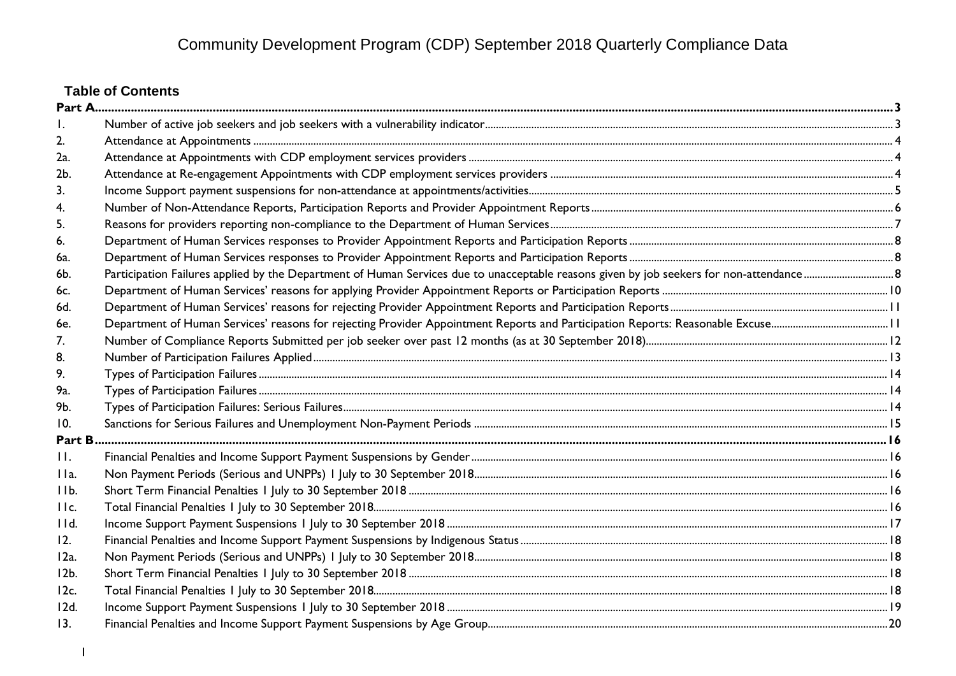# **Table of Contents**

| 2.           |  |
|--------------|--|
| 2a.          |  |
| 2b.          |  |
| 3.           |  |
|              |  |
| 5.           |  |
| 6.           |  |
| 6a.          |  |
| 6b.          |  |
| 6с.          |  |
| 6d.          |  |
| 6e.          |  |
| 7.           |  |
| 8.           |  |
| 9.           |  |
| 9a.          |  |
| 9b.          |  |
| 10.          |  |
| Part B.      |  |
| $\mathbf{H}$ |  |
| IIa.         |  |
| IIb.         |  |
| IIc.         |  |
| IId.         |  |
| 12.          |  |
| $12a$ .      |  |
| $12b$ .      |  |
| $12c$ .      |  |
| 12d.         |  |
| 13.          |  |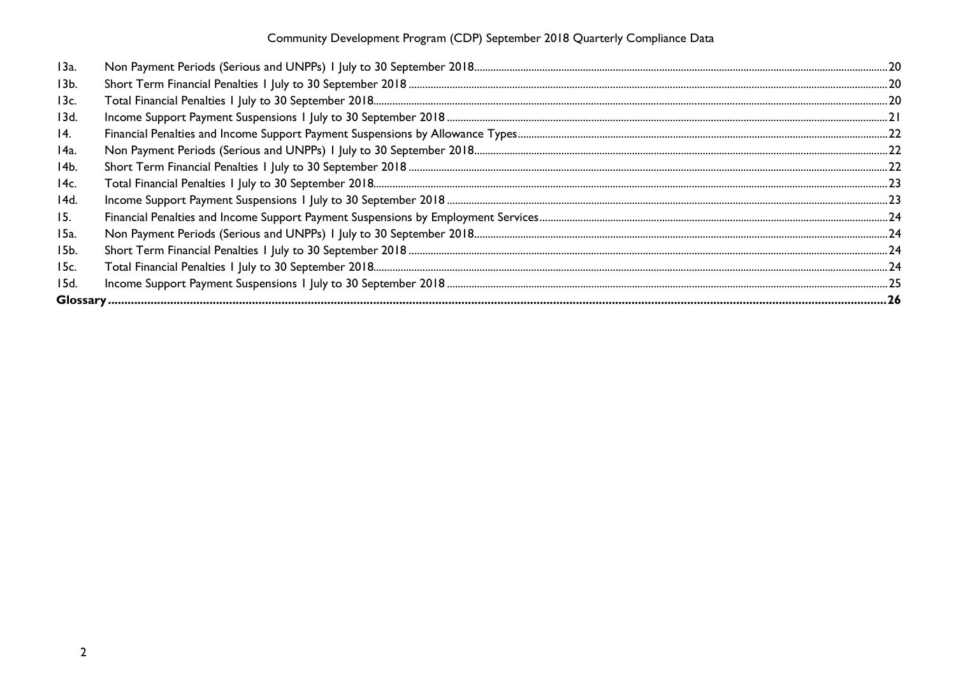| 13a.            |  |
|-----------------|--|
| 13 <sub>b</sub> |  |
| 13c.            |  |
| 13d.            |  |
| 14.             |  |
| 14a.            |  |
| 14b.            |  |
| 14c.            |  |
| 14d.            |  |
| 15.             |  |
| 15a.            |  |
| 15b.            |  |
| 15c.            |  |
| 15d.            |  |
|                 |  |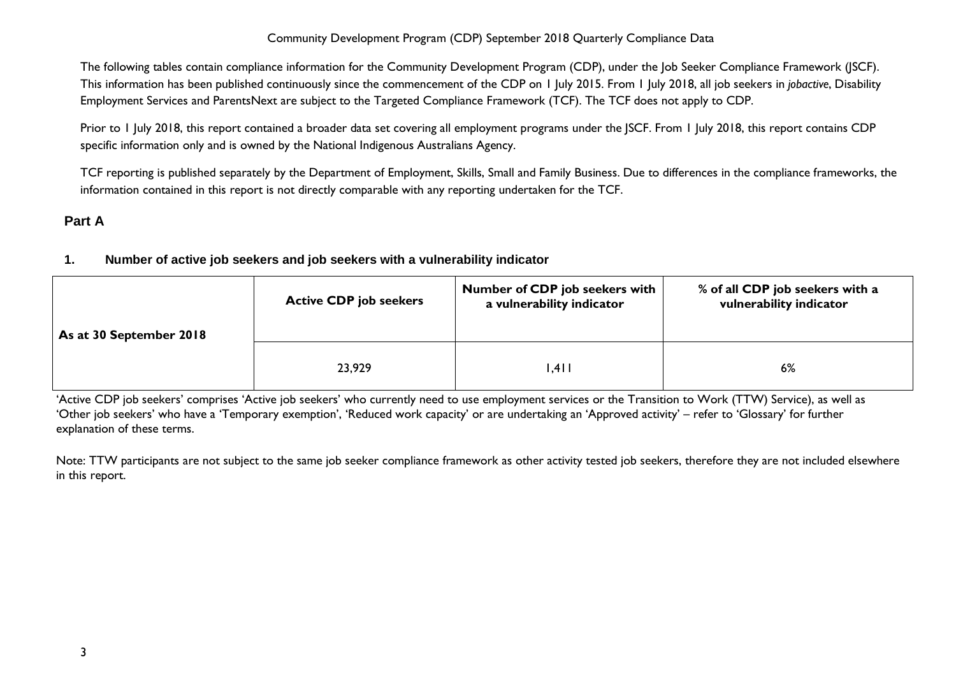The following tables contain compliance information for the Community Development Program (CDP), under the Job Seeker Compliance Framework (JSCF). This information has been published continuously since the commencement of the CDP on 1 July 2015. From 1 July 2018, all job seekers in *jobactive*, Disability Employment Services and ParentsNext are subject to the Targeted Compliance Framework (TCF). The TCF does not apply to CDP.

Prior to 1 July 2018, this report contained a broader data set covering all employment programs under the JSCF. From 1 July 2018, this report contains CDP specific information only and is owned by the National Indigenous Australians Agency.

TCF reporting is published separately by the Department of Employment, Skills, Small and Family Business. Due to differences in the compliance frameworks, the information contained in this report is not directly comparable with any reporting undertaken for the TCF.

# <span id="page-2-1"></span><span id="page-2-0"></span>**Part A**

## **1. Number of active job seekers and job seekers with a vulnerability indicator**

| As at 30 September 2018 | <b>Active CDP job seekers</b> | <b>Number of CDP job seekers with</b><br>a vulnerability indicator | % of all CDP job seekers with a<br>vulnerability indicator |  |  |
|-------------------------|-------------------------------|--------------------------------------------------------------------|------------------------------------------------------------|--|--|
|                         | 23,929                        | .4                                                                 | 6%                                                         |  |  |

'Active CDP job seekers' comprises 'Active job seekers' who currently need to use employment services or the Transition to Work (TTW) Service), as well as 'Other job seekers' who have a 'Temporary exemption', 'Reduced work capacity' or are undertaking an 'Approved activity' – refer to 'Glossary' for further explanation of these terms.

Note: TTW participants are not subject to the same job seeker compliance framework as other activity tested job seekers, therefore they are not included elsewhere in this report.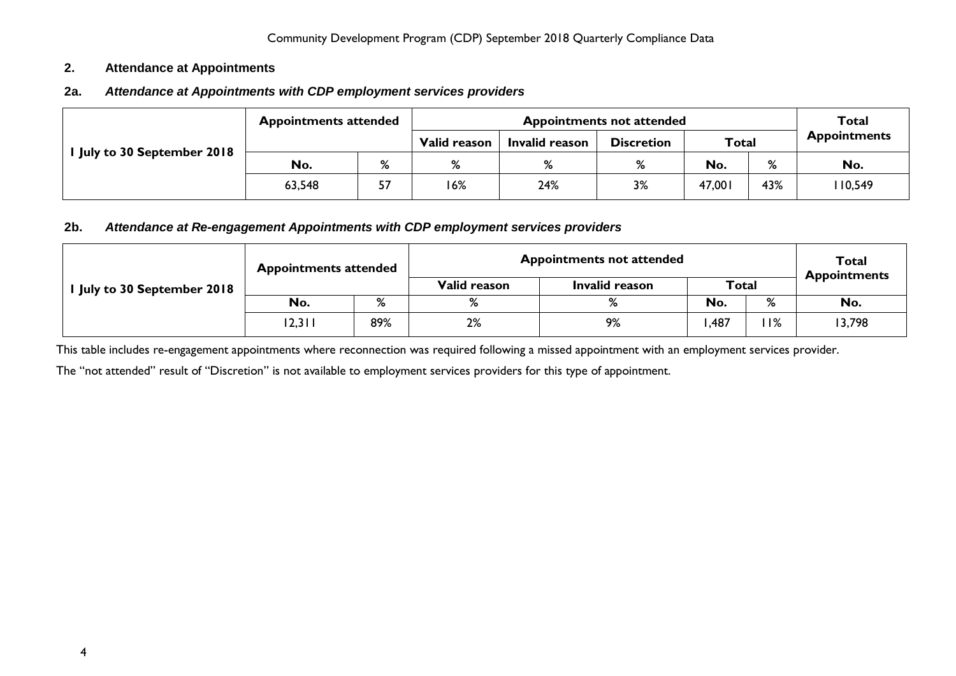#### <span id="page-3-0"></span>**2. Attendance at Appointments**

## <span id="page-3-1"></span>**2a.** *Attendance at Appointments with CDP employment services providers*

|                           | <b>Appointments attended</b> |    |              | Total          |                   |              |     |                     |
|---------------------------|------------------------------|----|--------------|----------------|-------------------|--------------|-----|---------------------|
| July to 30 September 2018 |                              |    | Valid reason | Invalid reason | <b>Discretion</b> | <b>Total</b> |     | <b>Appointments</b> |
|                           | No.                          | %  | %            | %              | %                 | No.          | %   | No.                 |
|                           | 63,548                       | 57 | 16%          | 24%            | 3%                | 47,001       | 43% | 110,549             |

#### <span id="page-3-2"></span>**2b.** *Attendance at Re-engagement Appointments with CDP employment services providers*

|                             | <b>Appointments attended</b> |     | <b>Appointments not attended</b> | <b>Total</b><br><b>Appointments</b> |      |     |        |  |
|-----------------------------|------------------------------|-----|----------------------------------|-------------------------------------|------|-----|--------|--|
| I July to 30 September 2018 |                              |     | Valid reason                     | <b>Total</b><br>Invalid reason      |      |     |        |  |
|                             | No.                          | %   | %                                | $\mathsf{o}/$                       | No.  | %   | No.    |  |
|                             | 12,311                       | 89% | 2%                               | 9%                                  | .487 | 11% | 13,798 |  |

This table includes re-engagement appointments where reconnection was required following a missed appointment with an employment services provider.

The "not attended" result of "Discretion" is not available to employment services providers for this type of appointment.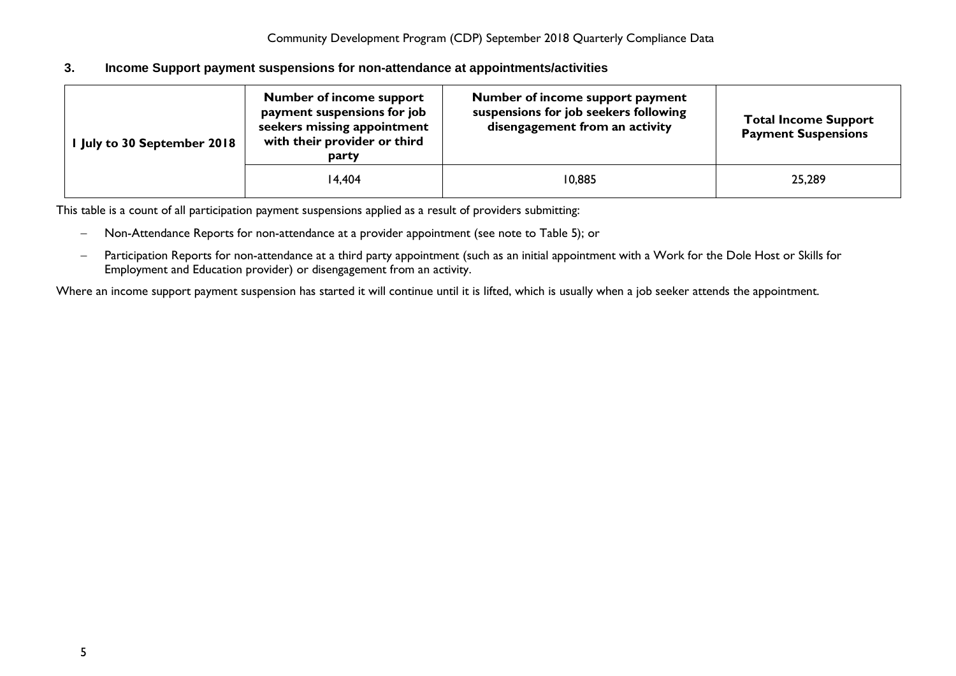#### <span id="page-4-0"></span>**3. Income Support payment suspensions for non-attendance at appointments/activities**

| I July to 30 September 2018 | <b>Number of income support</b><br>payment suspensions for job<br>seekers missing appointment<br>with their provider or third<br>party | Number of income support payment<br>suspensions for job seekers following<br>disengagement from an activity | <b>Total Income Support</b><br><b>Payment Suspensions</b> |
|-----------------------------|----------------------------------------------------------------------------------------------------------------------------------------|-------------------------------------------------------------------------------------------------------------|-----------------------------------------------------------|
|                             | 14.404                                                                                                                                 | 10,885                                                                                                      | 25,289                                                    |

This table is a count of all participation payment suspensions applied as a result of providers submitting:

- − Non-Attendance Reports for non-attendance at a provider appointment (see note to Table 5); or
- − Participation Reports for non-attendance at a third party appointment (such as an initial appointment with a Work for the Dole Host or Skills for Employment and Education provider) or disengagement from an activity.

Where an income support payment suspension has started it will continue until it is lifted, which is usually when a job seeker attends the appointment.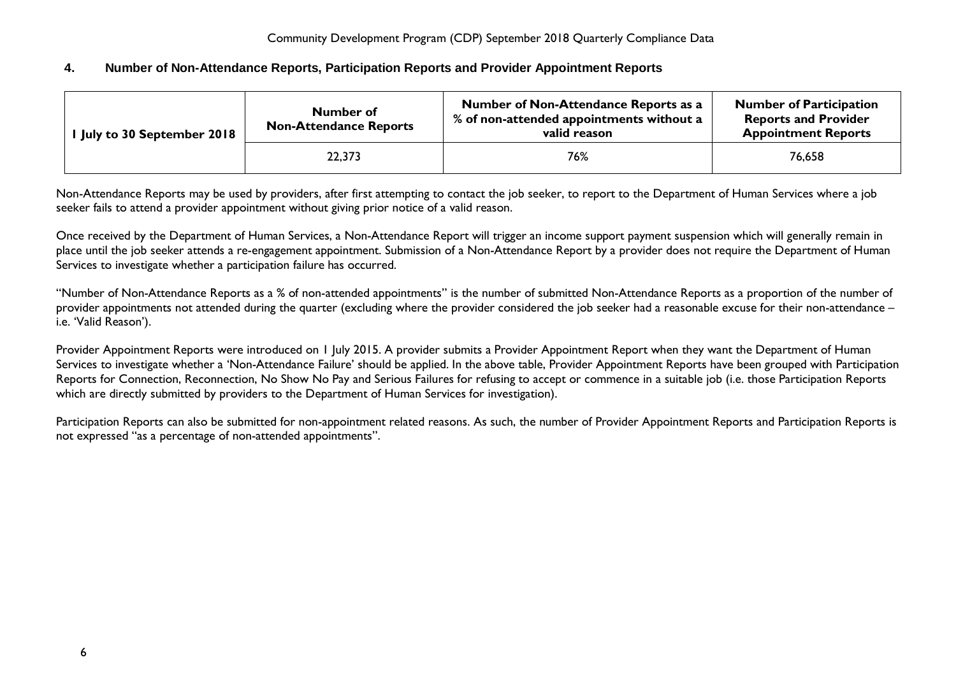## <span id="page-5-0"></span>**4. Number of Non-Attendance Reports, Participation Reports and Provider Appointment Reports**

| I July to 30 September 2018 | Number of<br><b>Non-Attendance Reports</b> | Number of Non-Attendance Reports as a<br>% of non-attended appointments without a<br>valid reason | <b>Number of Participation</b><br><b>Reports and Provider</b><br><b>Appointment Reports</b> |
|-----------------------------|--------------------------------------------|---------------------------------------------------------------------------------------------------|---------------------------------------------------------------------------------------------|
|                             | 22,373                                     | 76%                                                                                               | 76.658                                                                                      |

Non-Attendance Reports may be used by providers, after first attempting to contact the job seeker, to report to the Department of Human Services where a job seeker fails to attend a provider appointment without giving prior notice of a valid reason.

Once received by the Department of Human Services, a Non-Attendance Report will trigger an income support payment suspension which will generally remain in place until the job seeker attends a re-engagement appointment. Submission of a Non-Attendance Report by a provider does not require the Department of Human Services to investigate whether a participation failure has occurred.

"Number of Non-Attendance Reports as a % of non-attended appointments" is the number of submitted Non-Attendance Reports as a proportion of the number of provider appointments not attended during the quarter (excluding where the provider considered the job seeker had a reasonable excuse for their non-attendance – i.e. 'Valid Reason').

Provider Appointment Reports were introduced on 1 July 2015. A provider submits a Provider Appointment Report when they want the Department of Human Services to investigate whether a 'Non-Attendance Failure' should be applied. In the above table, Provider Appointment Reports have been grouped with Participation Reports for Connection, Reconnection, No Show No Pay and Serious Failures for refusing to accept or commence in a suitable job (i.e. those Participation Reports which are directly submitted by providers to the Department of Human Services for investigation).

Participation Reports can also be submitted for non-appointment related reasons. As such, the number of Provider Appointment Reports and Participation Reports is not expressed "as a percentage of non-attended appointments".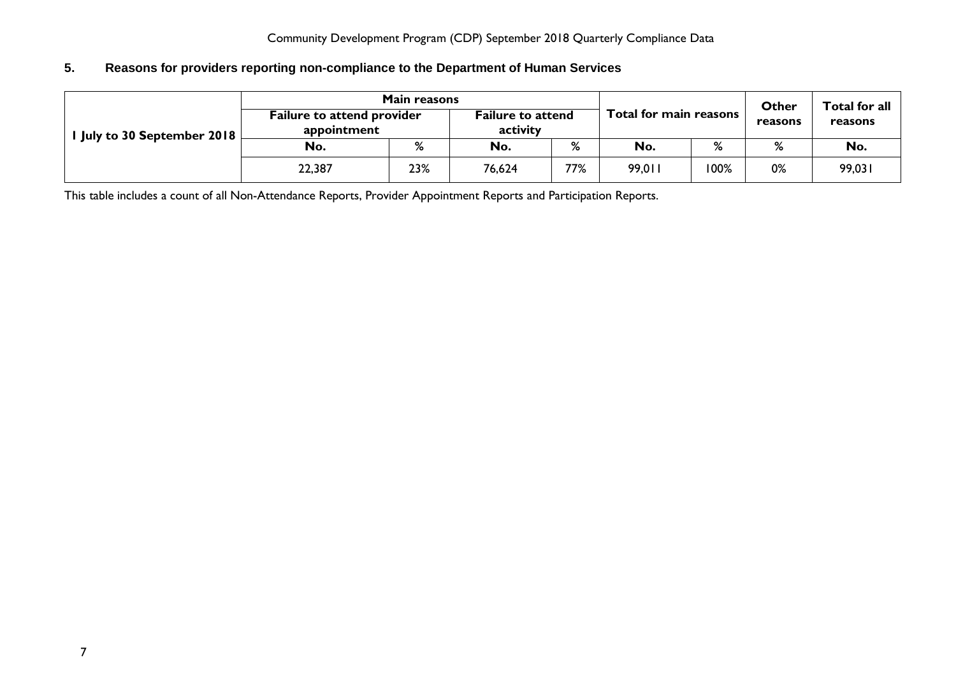# <span id="page-6-0"></span>**5. Reasons for providers reporting non-compliance to the Department of Human Services**

|                             | <b>Main reasons</b>                              |     |                                      | Other | Total for all          |      |         |         |  |
|-----------------------------|--------------------------------------------------|-----|--------------------------------------|-------|------------------------|------|---------|---------|--|
| I July to 30 September 2018 | <b>Failure to attend provider</b><br>appointment |     | <b>Failure to attend</b><br>activity |       | Total for main reasons |      | reasons | reasons |  |
|                             | No.                                              | %   | No.                                  | %     | No.                    | %    | %       | No.     |  |
|                             | 22,387                                           | 23% | 76,624                               | 77%   | 99,011                 | 100% | 0%      | 99,031  |  |

This table includes a count of all Non-Attendance Reports, Provider Appointment Reports and Participation Reports.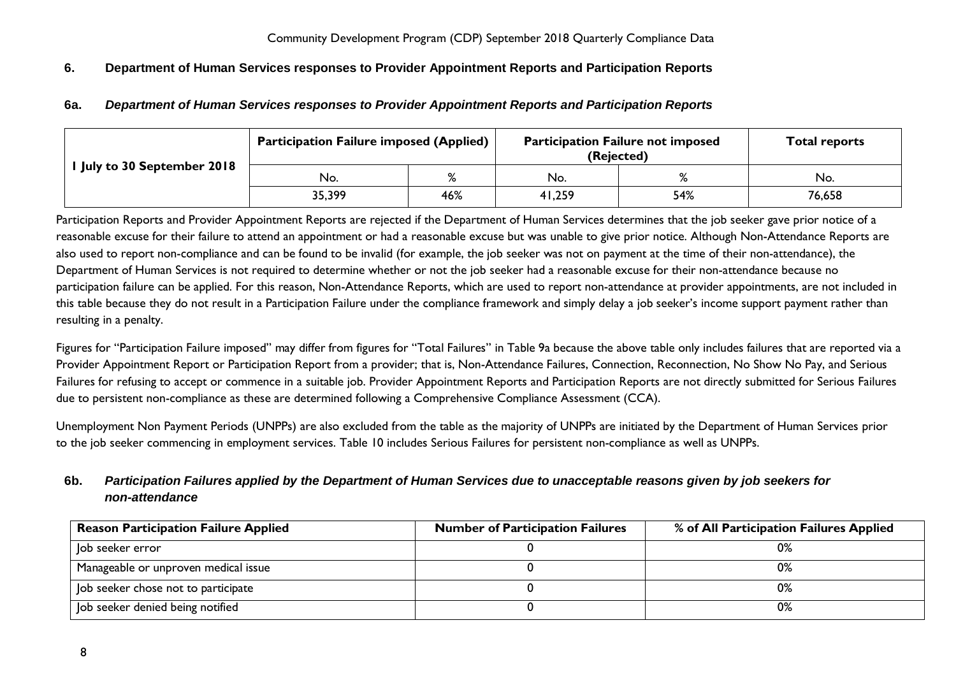## <span id="page-7-1"></span><span id="page-7-0"></span>**6. Department of Human Services responses to Provider Appointment Reports and Participation Reports**

## **6a.** *Department of Human Services responses to Provider Appointment Reports and Participation Reports*

|                                  | <b>Participation Failure imposed (Applied)</b> |     | <b>Participation Failure not imposed</b><br>(Rejected) | <b>Total reports</b> |        |
|----------------------------------|------------------------------------------------|-----|--------------------------------------------------------|----------------------|--------|
| <b>July to 30 September 2018</b> | No.                                            |     | No.                                                    |                      | No.    |
|                                  | 35,399                                         | 46% | 41,259                                                 | 54%                  | 76,658 |

Participation Reports and Provider Appointment Reports are rejected if the Department of Human Services determines that the job seeker gave prior notice of a reasonable excuse for their failure to attend an appointment or had a reasonable excuse but was unable to give prior notice. Although Non-Attendance Reports are also used to report non-compliance and can be found to be invalid (for example, the job seeker was not on payment at the time of their non-attendance), the Department of Human Services is not required to determine whether or not the job seeker had a reasonable excuse for their non-attendance because no participation failure can be applied. For this reason, Non-Attendance Reports, which are used to report non-attendance at provider appointments, are not included in this table because they do not result in a Participation Failure under the compliance framework and simply delay a job seeker's income support payment rather than resulting in a penalty.

Figures for "Participation Failure imposed" may differ from figures for "Total Failures" in Table 9a because the above table only includes failures that are reported via a Provider Appointment Report or Participation Report from a provider; that is, Non-Attendance Failures, Connection, Reconnection, No Show No Pay, and Serious Failures for refusing to accept or commence in a suitable job. Provider Appointment Reports and Participation Reports are not directly submitted for Serious Failures due to persistent non-compliance as these are determined following a Comprehensive Compliance Assessment (CCA).

Unemployment Non Payment Periods (UNPPs) are also excluded from the table as the majority of UNPPs are initiated by the Department of Human Services prior to the job seeker commencing in employment services. Table 10 includes Serious Failures for persistent non-compliance as well as UNPPs.

# <span id="page-7-2"></span>**6b.** *Participation Failures applied by the Department of Human Services due to unacceptable reasons given by job seekers for non-attendance*

| <b>Reason Participation Failure Applied</b> | <b>Number of Participation Failures</b> | % of All Participation Failures Applied |
|---------------------------------------------|-----------------------------------------|-----------------------------------------|
| Job seeker error                            |                                         | $0\%$                                   |
| Manageable or unproven medical issue        |                                         | 0%                                      |
| Job seeker chose not to participate         |                                         | 0%                                      |
| Job seeker denied being notified            |                                         | 0%                                      |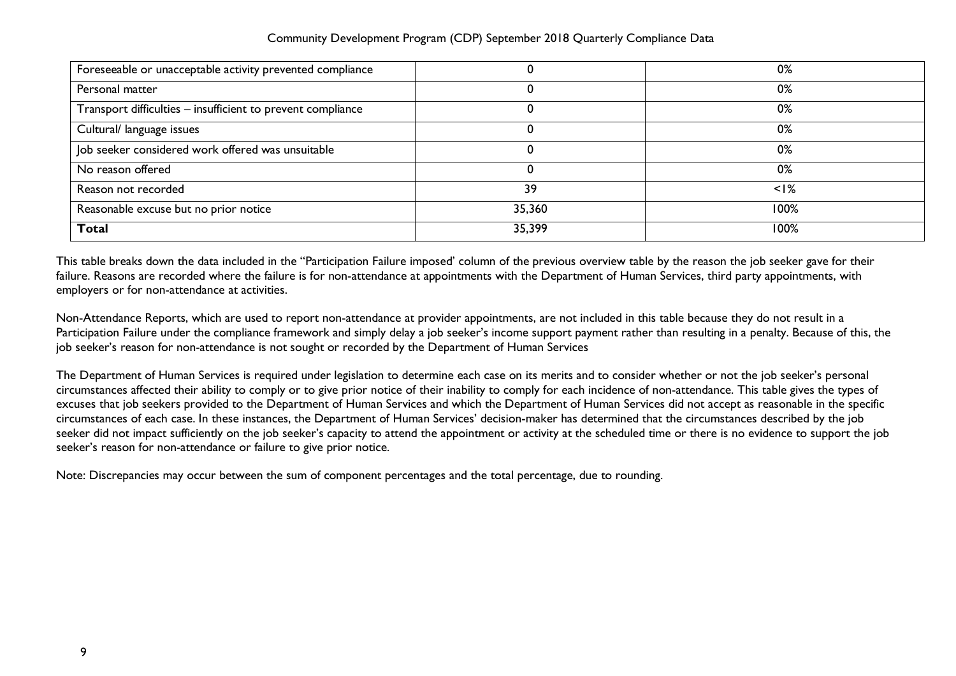| Foreseeable or unacceptable activity prevented compliance   |        | 0%        |
|-------------------------------------------------------------|--------|-----------|
| Personal matter                                             |        | 0%        |
| Transport difficulties - insufficient to prevent compliance |        | 0%        |
| Cultural/ language issues                                   |        | 0%        |
| Job seeker considered work offered was unsuitable           |        | 0%        |
| No reason offered                                           |        | 0%        |
| Reason not recorded                                         | 39     | $\leq$  % |
| Reasonable excuse but no prior notice                       | 35,360 | 100%      |
| <b>Total</b>                                                | 35,399 | 100%      |

This table breaks down the data included in the "Participation Failure imposed' column of the previous overview table by the reason the job seeker gave for their failure. Reasons are recorded where the failure is for non-attendance at appointments with the Department of Human Services, third party appointments, with employers or for non-attendance at activities.

Non-Attendance Reports, which are used to report non-attendance at provider appointments, are not included in this table because they do not result in a Participation Failure under the compliance framework and simply delay a job seeker's income support payment rather than resulting in a penalty. Because of this, the job seeker's reason for non-attendance is not sought or recorded by the Department of Human Services

The Department of Human Services is required under legislation to determine each case on its merits and to consider whether or not the job seeker's personal circumstances affected their ability to comply or to give prior notice of their inability to comply for each incidence of non-attendance. This table gives the types of excuses that job seekers provided to the Department of Human Services and which the Department of Human Services did not accept as reasonable in the specific circumstances of each case. In these instances, the Department of Human Services' decision-maker has determined that the circumstances described by the job seeker did not impact sufficiently on the job seeker's capacity to attend the appointment or activity at the scheduled time or there is no evidence to support the job seeker's reason for non-attendance or failure to give prior notice.

Note: Discrepancies may occur between the sum of component percentages and the total percentage, due to rounding.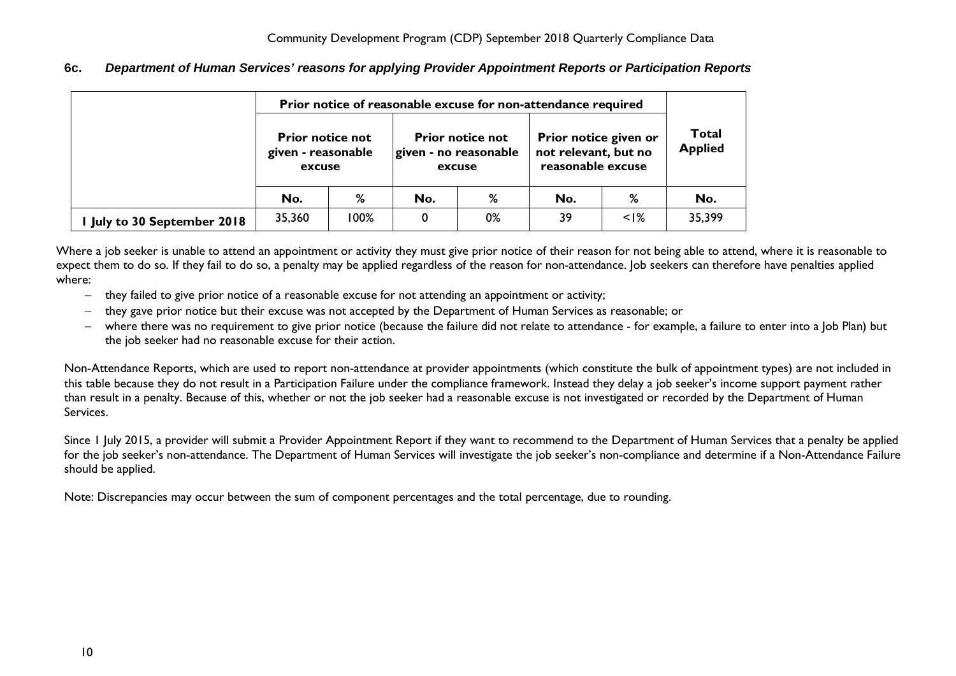<span id="page-9-0"></span>**6c.** *Department of Human Services' reasons for applying Provider Appointment Reports or Participation Reports*

|                             | Prior notice of reasonable excuse for non-attendance required |      |     |                                                            |                                                                    |                                |        |
|-----------------------------|---------------------------------------------------------------|------|-----|------------------------------------------------------------|--------------------------------------------------------------------|--------------------------------|--------|
|                             | <b>Prior notice not</b><br>given - reasonable<br>excuse       |      |     | <b>Prior notice not</b><br>given - no reasonable<br>excuse | Prior notice given or<br>not relevant, but no<br>reasonable excuse | <b>Total</b><br><b>Applied</b> |        |
|                             | No.                                                           | %    | No. | %                                                          | No.                                                                | %                              | No.    |
| I July to 30 September 2018 | 35,360                                                        | 100% | 0   | 0%                                                         | 39                                                                 | $\leq$  %                      | 35,399 |

Where a job seeker is unable to attend an appointment or activity they must give prior notice of their reason for not being able to attend, where it is reasonable to expect them to do so. If they fail to do so, a penalty may be applied regardless of the reason for non-attendance. Job seekers can therefore have penalties applied where:

- − they failed to give prior notice of a reasonable excuse for not attending an appointment or activity;
- − they gave prior notice but their excuse was not accepted by the Department of Human Services as reasonable; or
- − where there was no requirement to give prior notice (because the failure did not relate to attendance for example, a failure to enter into a Job Plan) but the job seeker had no reasonable excuse for their action.

Non-Attendance Reports, which are used to report non-attendance at provider appointments (which constitute the bulk of appointment types) are not included in this table because they do not result in a Participation Failure under the compliance framework. Instead they delay a job seeker's income support payment rather than result in a penalty. Because of this, whether or not the job seeker had a reasonable excuse is not investigated or recorded by the Department of Human Services.

Since 1 July 2015, a provider will submit a Provider Appointment Report if they want to recommend to the Department of Human Services that a penalty be applied for the job seeker's non-attendance. The Department of Human Services will investigate the job seeker's non-compliance and determine if a Non-Attendance Failure should be applied.

Note: Discrepancies may occur between the sum of component percentages and the total percentage, due to rounding.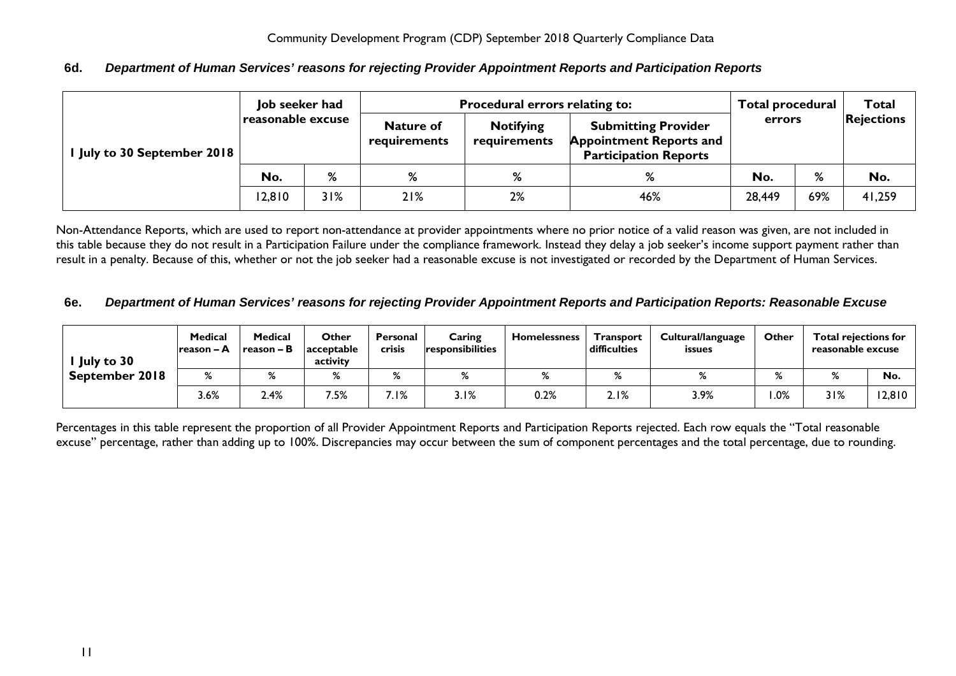| I July to 30 September 2018 | Job seeker had<br>reasonable excuse |     | Procedural errors relating to:<br><b>Notifying</b><br><b>Nature of</b><br>requirements<br>requirements |    | <b>Submitting Provider</b><br><b>Appointment Reports and</b><br><b>Participation Reports</b> | <b>Total procedural</b><br>errors |     | <b>Total</b><br><b>Rejections</b> |
|-----------------------------|-------------------------------------|-----|--------------------------------------------------------------------------------------------------------|----|----------------------------------------------------------------------------------------------|-----------------------------------|-----|-----------------------------------|
|                             | No.                                 | %   | %                                                                                                      | %  | %                                                                                            | No.                               | %   | No.                               |
|                             | 12,810                              | 31% | 21%                                                                                                    | 2% | 46%                                                                                          | 28,449                            | 69% | 41,259                            |

## <span id="page-10-0"></span>**6d.** *Department of Human Services' reasons for rejecting Provider Appointment Reports and Participation Reports*

Non-Attendance Reports, which are used to report non-attendance at provider appointments where no prior notice of a valid reason was given, are not included in this table because they do not result in a Participation Failure under the compliance framework. Instead they delay a job seeker's income support payment rather than result in a penalty. Because of this, whether or not the job seeker had a reasonable excuse is not investigated or recorded by the Department of Human Services.

#### <span id="page-10-1"></span>**6e.** *Department of Human Services' reasons for rejecting Provider Appointment Reports and Participation Reports: Reasonable Excuse*

| July to 30     | <b>Medical</b><br>Ireason – A | Medical<br>l reason – B | Other<br><b>acceptable</b><br>activity | Personal<br><b>crisis</b> | Caring<br>responsibilities | <b>Homelessness</b> | <b>Transport</b><br>difficulties | Cultural/language<br><b>issues</b> | Other        |              | <b>Total rejections for</b><br>reasonable excuse |  |
|----------------|-------------------------------|-------------------------|----------------------------------------|---------------------------|----------------------------|---------------------|----------------------------------|------------------------------------|--------------|--------------|--------------------------------------------------|--|
| September 2018 | $\mathsf{o}$                  | %                       | %                                      | $\mathbf{o}/$             | $\mathbf{C}$               |                     | $\mathbf{O}$                     | %                                  | $\mathbf{a}$ | $\mathsf{o}$ | No.                                              |  |
|                | 3.6%                          | 2.4%                    | 7.5%                                   | 7.I%                      | 3.1%                       | 0.2%                | 2.1%                             | 3.9%                               | .0%          | 31%          | 12,810                                           |  |

Percentages in this table represent the proportion of all Provider Appointment Reports and Participation Reports rejected. Each row equals the "Total reasonable excuse" percentage, rather than adding up to 100%. Discrepancies may occur between the sum of component percentages and the total percentage, due to rounding.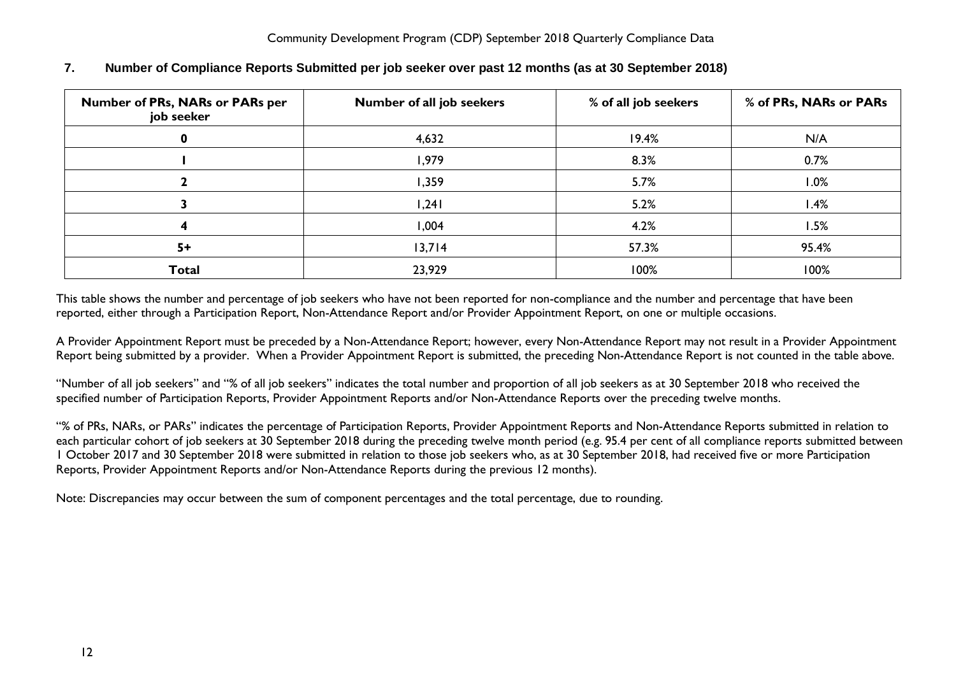| <b>Number of PRs, NARs or PARs per</b><br>job seeker | Number of all job seekers | % of all job seekers | % of PRs, NARs or PARs |  |  |
|------------------------------------------------------|---------------------------|----------------------|------------------------|--|--|
| 0                                                    | 4,632                     | 19.4%                | N/A                    |  |  |
|                                                      | 1,979                     | 8.3%                 | 0.7%                   |  |  |
|                                                      | 1,359                     | 5.7%                 | $.0\%$                 |  |  |
|                                                      | 1,241                     | 5.2%                 | l.4%                   |  |  |
|                                                      | 1,004                     | 4.2%                 | 1.5%                   |  |  |
| $5+$                                                 | 13,714                    | 57.3%                | 95.4%                  |  |  |
| <b>Total</b>                                         | 23,929                    | 100%                 | 100%                   |  |  |

## <span id="page-11-0"></span>**7. Number of Compliance Reports Submitted per job seeker over past 12 months (as at 30 September 2018)**

This table shows the number and percentage of job seekers who have not been reported for non-compliance and the number and percentage that have been reported, either through a Participation Report, Non-Attendance Report and/or Provider Appointment Report, on one or multiple occasions.

A Provider Appointment Report must be preceded by a Non-Attendance Report; however, every Non-Attendance Report may not result in a Provider Appointment Report being submitted by a provider. When a Provider Appointment Report is submitted, the preceding Non-Attendance Report is not counted in the table above.

"Number of all job seekers" and "% of all job seekers" indicates the total number and proportion of all job seekers as at 30 September 2018 who received the specified number of Participation Reports, Provider Appointment Reports and/or Non-Attendance Reports over the preceding twelve months.

"% of PRs, NARs, or PARs" indicates the percentage of Participation Reports, Provider Appointment Reports and Non-Attendance Reports submitted in relation to each particular cohort of job seekers at 30 September 2018 during the preceding twelve month period (e.g. 95.4 per cent of all compliance reports submitted between 1 October 2017 and 30 September 2018 were submitted in relation to those job seekers who, as at 30 September 2018, had received five or more Participation Reports, Provider Appointment Reports and/or Non-Attendance Reports during the previous 12 months).

Note: Discrepancies may occur between the sum of component percentages and the total percentage, due to rounding.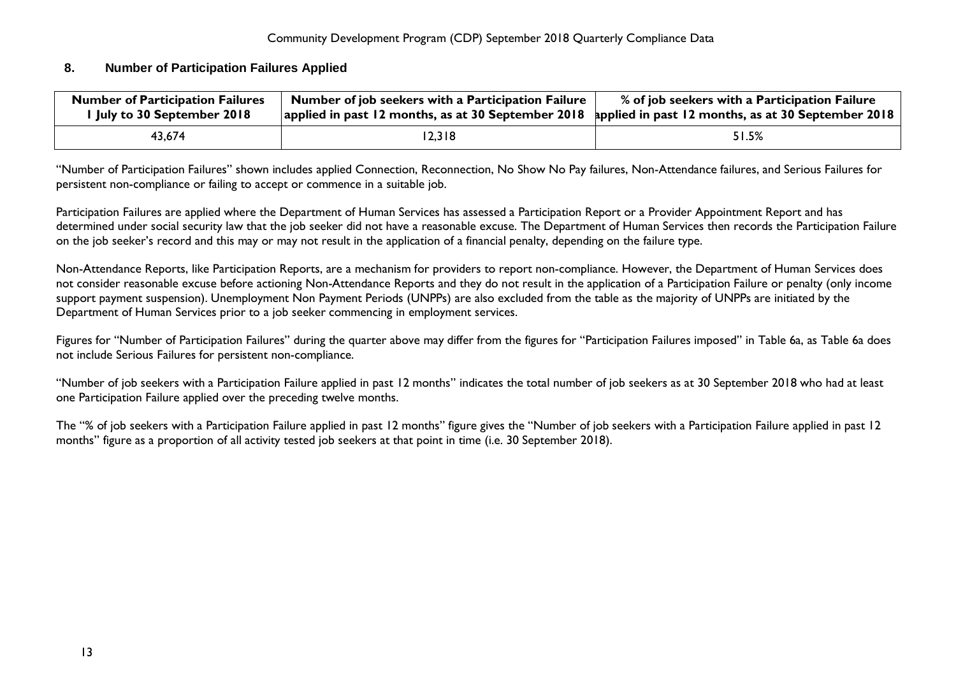#### <span id="page-12-0"></span>**8. Number of Participation Failures Applied**

| <b>Number of Participation Failures</b><br>I July to 30 September 2018 | Number of job seekers with a Participation Failure<br>  applied in past 12 months, as at 30 September 2018   applied in past 12 months, as at 30 September 2018 | % of job seekers with a Participation Failure |
|------------------------------------------------------------------------|-----------------------------------------------------------------------------------------------------------------------------------------------------------------|-----------------------------------------------|
| 43.674                                                                 | 12,318                                                                                                                                                          | 51.5%                                         |

"Number of Participation Failures" shown includes applied Connection, Reconnection, No Show No Pay failures, Non-Attendance failures, and Serious Failures for persistent non-compliance or failing to accept or commence in a suitable job.

Participation Failures are applied where the Department of Human Services has assessed a Participation Report or a Provider Appointment Report and has determined under social security law that the job seeker did not have a reasonable excuse. The Department of Human Services then records the Participation Failure on the job seeker's record and this may or may not result in the application of a financial penalty, depending on the failure type.

Non-Attendance Reports, like Participation Reports, are a mechanism for providers to report non-compliance. However, the Department of Human Services does not consider reasonable excuse before actioning Non-Attendance Reports and they do not result in the application of a Participation Failure or penalty (only income support payment suspension). Unemployment Non Payment Periods (UNPPs) are also excluded from the table as the majority of UNPPs are initiated by the Department of Human Services prior to a job seeker commencing in employment services.

Figures for "Number of Participation Failures" during the quarter above may differ from the figures for "Participation Failures imposed" in Table 6a, as Table 6a does not include Serious Failures for persistent non-compliance.

"Number of job seekers with a Participation Failure applied in past 12 months" indicates the total number of job seekers as at 30 September 2018 who had at least one Participation Failure applied over the preceding twelve months.

The "% of job seekers with a Participation Failure applied in past 12 months" figure gives the "Number of job seekers with a Participation Failure applied in past 12 months" figure as a proportion of all activity tested job seekers at that point in time (i.e. 30 September 2018).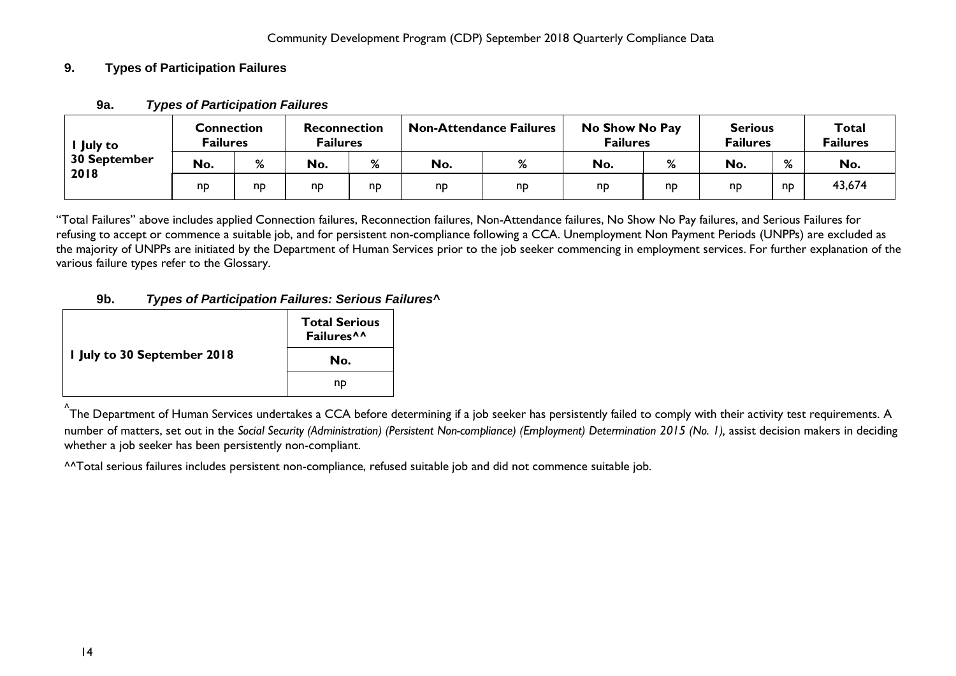## <span id="page-13-1"></span><span id="page-13-0"></span>**9. Types of Participation Failures**

| <b>July to</b><br>30 September<br>2018 | <b>Connection</b><br><b>Failures</b> |    | <b>Reconnection</b><br><b>Failures</b> |          | <b>Non-Attendance Failures</b> |    | No Show No Pay<br><b>Failures</b> |                | <b>Serious</b><br><b>Failures</b> |                            | <b>Total</b><br><b>Failures</b> |
|----------------------------------------|--------------------------------------|----|----------------------------------------|----------|--------------------------------|----|-----------------------------------|----------------|-----------------------------------|----------------------------|---------------------------------|
|                                        | No.                                  | %  | No.                                    | %        | No.                            | 7٥ | No.                               | %              | No.                               | $\mathbf{o}$<br>$\sqrt{2}$ | No.                             |
|                                        | np                                   | np | np                                     | <b>n</b> | np                             | np | np                                | n <sub>D</sub> | np                                | nD                         | 43,674                          |

## **9a.** *Types of Participation Failures*

"Total Failures" above includes applied Connection failures, Reconnection failures, Non-Attendance failures, No Show No Pay failures, and Serious Failures for refusing to accept or commence a suitable job, and for persistent non-compliance following a CCA. Unemployment Non Payment Periods (UNPPs) are excluded as the majority of UNPPs are initiated by the Department of Human Services prior to the job seeker commencing in employment services. For further explanation of the various failure types refer to the Glossary.

## **9b.** *Types of Participation Failures: Serious Failures^*

<span id="page-13-2"></span>

|                             | <b>Total Serious</b><br>Failures <sup>^^</sup> |
|-----------------------------|------------------------------------------------|
| I July to 30 September 2018 | No.                                            |
|                             | np                                             |

^<br>^The Department of Human Services undertakes a CCA before determining if a job seeker has persistently failed to comply with their activity test requirements. A number of matters, set out in the *Social Security (Administration) (Persistent Non-compliance) (Employment) Determination 2015 (No. 1),* assist decision makers in deciding whether a job seeker has been persistently non-compliant.

^^Total serious failures includes persistent non-compliance, refused suitable job and did not commence suitable job.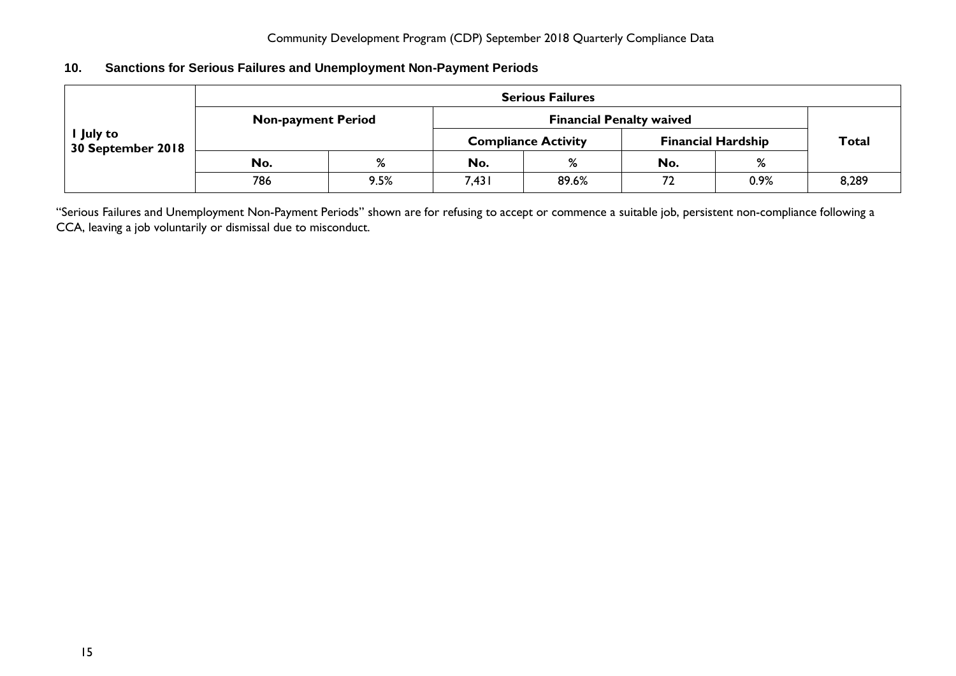## <span id="page-14-0"></span>**10. Sanctions for Serious Failures and Unemployment Non-Payment Periods**

|                                | <b>Serious Failures</b>   |      |       |                                 |                           |              |       |  |  |  |  |
|--------------------------------|---------------------------|------|-------|---------------------------------|---------------------------|--------------|-------|--|--|--|--|
|                                | <b>Non-payment Period</b> |      |       | <b>Financial Penalty waived</b> |                           |              |       |  |  |  |  |
| I July to<br>30 September 2018 |                           |      |       | <b>Compliance Activity</b>      | <b>Financial Hardship</b> | <b>Total</b> |       |  |  |  |  |
|                                | No.                       | %    | No.   | %                               | No.                       | %            |       |  |  |  |  |
|                                | 786                       | 9.5% | 7,431 | 89.6%                           | 72                        | 0.9%         | 8,289 |  |  |  |  |

"Serious Failures and Unemployment Non-Payment Periods" shown are for refusing to accept or commence a suitable job, persistent non-compliance following a CCA, leaving a job voluntarily or dismissal due to misconduct.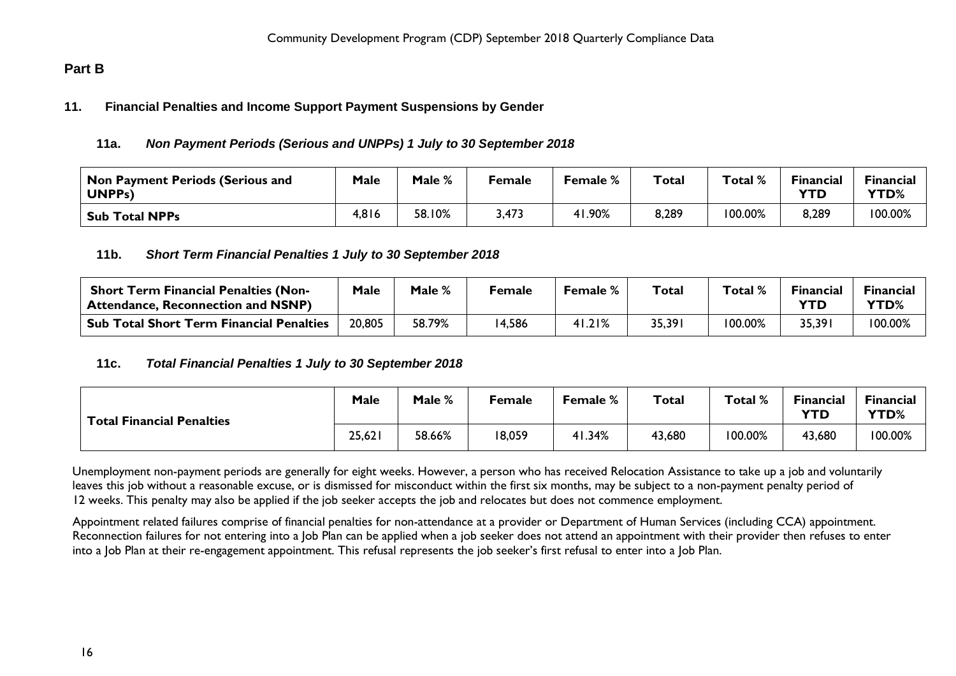## <span id="page-15-1"></span><span id="page-15-0"></span>**Part B**

#### <span id="page-15-2"></span>**11. Financial Penalties and Income Support Payment Suspensions by Gender**

## **11a.** *Non Payment Periods (Serious and UNPPs) 1 July to 30 September 2018*

| Non Payment Periods (Serious and<br>UNPPs) | Male  | Male % | Female | Female % | Total | Total % | <b>Financial</b><br><b>YTD</b> | Financial<br><b>YTD%</b> |
|--------------------------------------------|-------|--------|--------|----------|-------|---------|--------------------------------|--------------------------|
| <b>Sub Total NPPs</b>                      | 4,816 | 58.10% | 3,473  | H.90%    | 8,289 | 100.00% | 8,289                          | 100.00%                  |

## <span id="page-15-3"></span>**11b.** *Short Term Financial Penalties 1 July to 30 September 2018*

| <b>Short Term Financial Penalties (Non-</b><br><b>Attendance, Reconnection and NSNP)</b> | Male   | Male % | Female | <b>Female</b> % | Total | Total % | <b>Financial</b><br>YTD | <b>Financial</b><br>YTD% |
|------------------------------------------------------------------------------------------|--------|--------|--------|-----------------|-------|---------|-------------------------|--------------------------|
| <b>Sub Total Short Term Financial Penalties</b>                                          | 20,805 | 58.79% | 4,586  | 41.21%          | 35,39 | 100.00% | 35,391                  | 100.00%                  |

#### <span id="page-15-4"></span>**11c.** *Total Financial Penalties 1 July to 30 September 2018*

| <b>Total Financial Penalties</b> | Male   | Male % | Female | Female % | <b>Total</b> | Total % | <b>Financial</b><br><b>YTD</b> | <b>Financial</b><br>YTD% |
|----------------------------------|--------|--------|--------|----------|--------------|---------|--------------------------------|--------------------------|
|                                  | 25,621 | 58.66% | 18,059 | 41.34%   | 43,680       | 100.00% | 43,680                         | 100.00%                  |

Unemployment non-payment periods are generally for eight weeks. However, a person who has received Relocation Assistance to take up a job and voluntarily leaves this job without a reasonable excuse, or is dismissed for misconduct within the first six months, may be subject to a non-payment penalty period of 12 weeks. This penalty may also be applied if the job seeker accepts the job and relocates but does not commence employment.

Appointment related failures comprise of financial penalties for non-attendance at a provider or Department of Human Services (including CCA) appointment. Reconnection failures for not entering into a Job Plan can be applied when a job seeker does not attend an appointment with their provider then refuses to enter into a Job Plan at their re-engagement appointment. This refusal represents the job seeker's first refusal to enter into a Job Plan.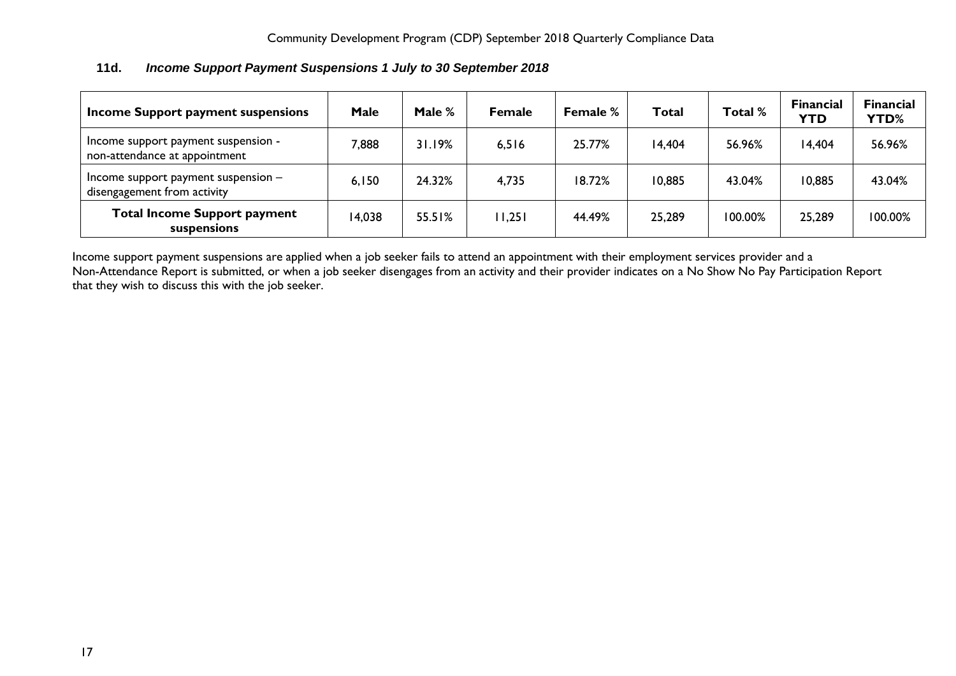<span id="page-16-0"></span>

| 11d. | Income Support Payment Suspensions 1 July to 30 September 2018 |
|------|----------------------------------------------------------------|
|------|----------------------------------------------------------------|

| Income Support payment suspensions                                   | Male   | Male % | <b>Female</b> | <b>Female %</b> | <b>Total</b> | Total % | <b>Financial</b><br><b>YTD</b> | <b>Financial</b><br><b>YTD%</b> |
|----------------------------------------------------------------------|--------|--------|---------------|-----------------|--------------|---------|--------------------------------|---------------------------------|
| Income support payment suspension -<br>non-attendance at appointment | 7,888  | 31.19% | 6,516         | 25.77%          | 14,404       | 56.96%  | 14,404                         | 56.96%                          |
| Income support payment suspension $-$<br>disengagement from activity | 6,150  | 24.32% | 4,735         | 18.72%          | 10,885       | 43.04%  | 10,885                         | 43.04%                          |
| <b>Total Income Support payment</b><br>suspensions                   | 14,038 | 55.51% | 11,251        | 44.49%          | 25,289       | 100.00% | 25,289                         | 100.00%                         |

Income support payment suspensions are applied when a job seeker fails to attend an appointment with their employment services provider and a Non-Attendance Report is submitted, or when a job seeker disengages from an activity and their provider indicates on a No Show No Pay Participation Report that they wish to discuss this with the job seeker.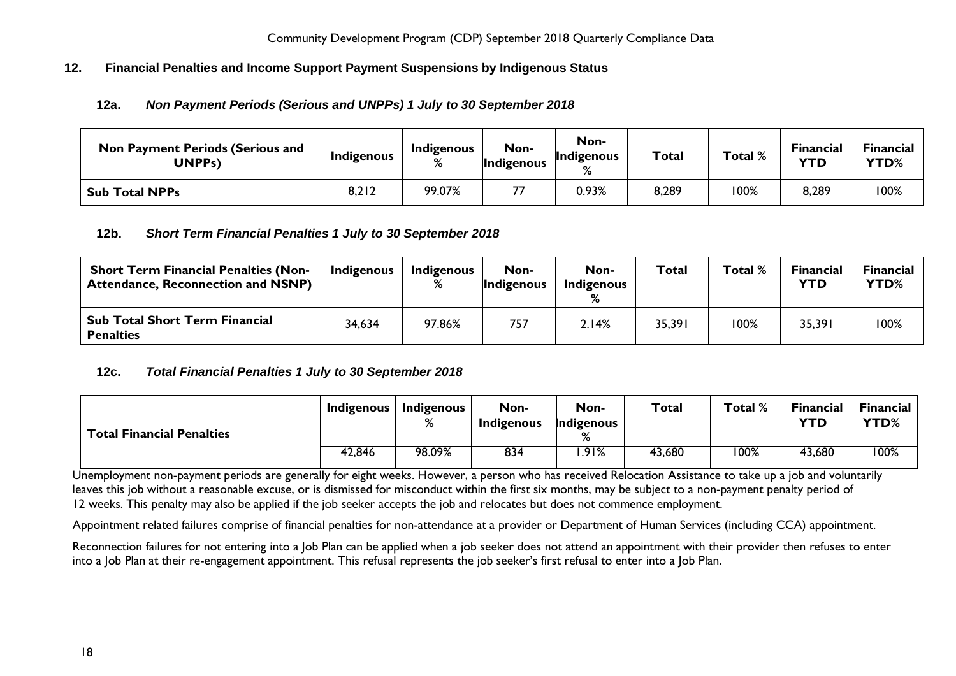## <span id="page-17-1"></span><span id="page-17-0"></span>**12. Financial Penalties and Income Support Payment Suspensions by Indigenous Status**

## **12a.** *Non Payment Periods (Serious and UNPPs) 1 July to 30 September 2018*

| <b>Non Payment Periods (Serious and</b><br><b>UNPPs)</b> | Indigenous | <b>Indigenous</b> | Non-<br>Indigenous | Non-<br>Indigenous<br>℅ | <b>Total</b> | Total % | <b>Financial</b><br><b>YTD</b> | Financial<br>YTD% |
|----------------------------------------------------------|------------|-------------------|--------------------|-------------------------|--------------|---------|--------------------------------|-------------------|
| <b>Sub Total NPPs</b>                                    | 8,212      | 99.07%            |                    | 0.93%                   | 8,289        | 100%    | 8,289                          | $00\%$            |

## <span id="page-17-2"></span>**12b.** *Short Term Financial Penalties 1 July to 30 September 2018*

| <b>Short Term Financial Penalties (Non-</b><br><b>Attendance, Reconnection and NSNP)</b> | <b>Indigenous</b> | <b>Indigenous</b><br>% | Non-<br>Indigenous | Non-<br><b>Indigenous</b> | Total  | Total % | <b>Financial</b><br><b>YTD</b> | <b>Financial</b><br>YTD% |
|------------------------------------------------------------------------------------------|-------------------|------------------------|--------------------|---------------------------|--------|---------|--------------------------------|--------------------------|
| <b>Sub Total Short Term Financial</b><br><b>Penalties</b>                                | 34,634            | 97.86%                 | 757                | 2.14%                     | 35,391 | 100%    | 35,391                         | 100%                     |

#### <span id="page-17-3"></span>**12c.** *Total Financial Penalties 1 July to 30 September 2018*

| <b>Total Financial Penalties</b> | <b>Indigenous</b> | <b>Indigenous</b> | Non-<br><b>Indigenous</b> | Non-<br>Indigenous | <b>Total</b> | Total % | Financial<br><b>YTD</b> | <b>Financial</b><br>YTD% |
|----------------------------------|-------------------|-------------------|---------------------------|--------------------|--------------|---------|-------------------------|--------------------------|
|                                  | 42,846            | 98.09%            | 834                       | .91%               | 43,680       | 100%    | 43,680                  | 100%                     |

Unemployment non-payment periods are generally for eight weeks. However, a person who has received Relocation Assistance to take up a job and voluntarily leaves this job without a reasonable excuse, or is dismissed for misconduct within the first six months, may be subject to a non-payment penalty period of 12 weeks. This penalty may also be applied if the job seeker accepts the job and relocates but does not commence employment.

Appointment related failures comprise of financial penalties for non-attendance at a provider or Department of Human Services (including CCA) appointment.

Reconnection failures for not entering into a Job Plan can be applied when a job seeker does not attend an appointment with their provider then refuses to enter into a Job Plan at their re-engagement appointment. This refusal represents the job seeker's first refusal to enter into a Job Plan.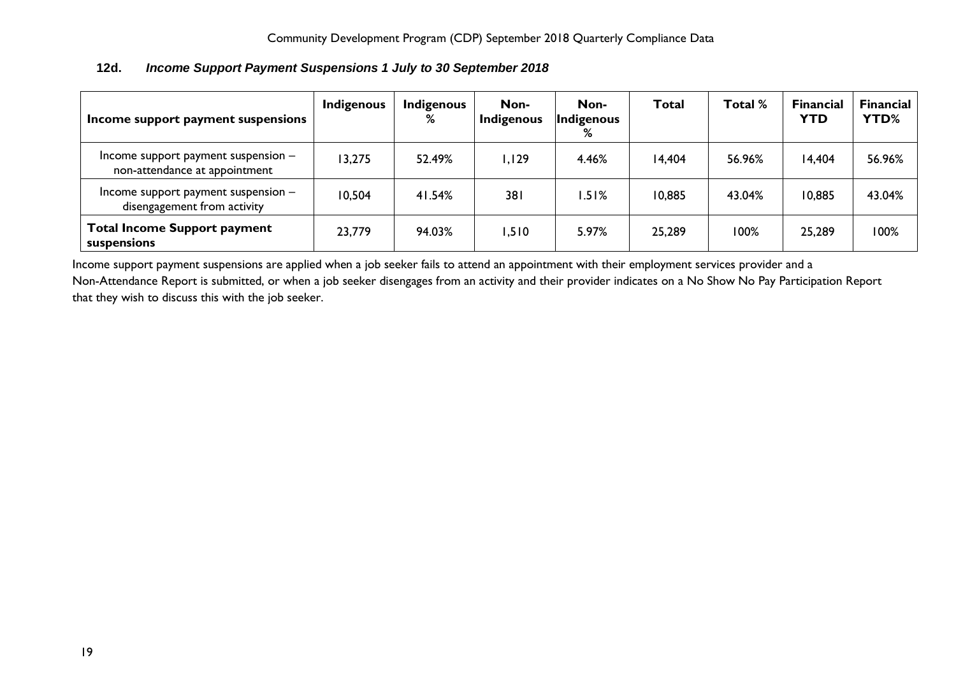| Income support payment suspensions                                   | Indigenous | <b>Indigenous</b><br>% | Non-<br>Indigenous | Non-<br>Indigenous<br>% | <b>Total</b> | Total % | <b>Financial</b><br><b>YTD</b> | <b>Financial</b><br>YTD% |
|----------------------------------------------------------------------|------------|------------------------|--------------------|-------------------------|--------------|---------|--------------------------------|--------------------------|
| Income support payment suspension -<br>non-attendance at appointment | 13,275     | 52.49%                 | 1,129              | 4.46%                   | 14,404       | 56.96%  | 14,404                         | 56.96%                   |
| Income support payment suspension -<br>disengagement from activity   | 10,504     | 41.54%                 | 38 <sub>1</sub>    | .51%                    | 10,885       | 43.04%  | 10,885                         | 43.04%                   |
| <b>Total Income Support payment</b><br>suspensions                   | 23,779     | 94.03%                 | 1,510              | 5.97%                   | 25,289       | 100%    | 25,289                         | 100%                     |

# <span id="page-18-0"></span>**12d.** *Income Support Payment Suspensions 1 July to 30 September 2018*

Income support payment suspensions are applied when a job seeker fails to attend an appointment with their employment services provider and a Non-Attendance Report is submitted, or when a job seeker disengages from an activity and their provider indicates on a No Show No Pay Participation Report that they wish to discuss this with the job seeker.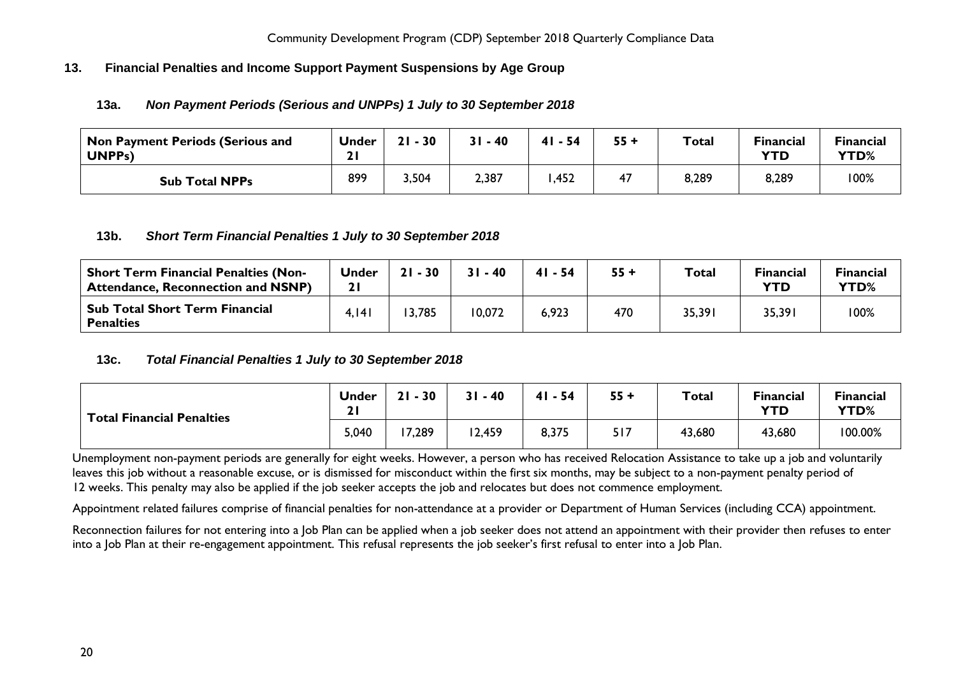## <span id="page-19-1"></span><span id="page-19-0"></span>**13. Financial Penalties and Income Support Payment Suspensions by Age Group**

#### **13a.** *Non Payment Periods (Serious and UNPPs) 1 July to 30 September 2018*

| Non Payment Periods (Serious and<br><b>UNPPs)</b> | <b>Under</b><br>21 | 30<br>21 | $-40$ | 41<br>- 54 | $55 +$ | <b>Total</b> | <b>Financial</b><br><b>YTD</b> | <b>Financial</b><br>YTD% |
|---------------------------------------------------|--------------------|----------|-------|------------|--------|--------------|--------------------------------|--------------------------|
| <b>Sub Total NPPs</b>                             | 899                | 3,504    | 2,387 | ,452       | 47     | 8,289        | 8,289                          | 100%                     |

#### <span id="page-19-2"></span>**13b.** *Short Term Financial Penalties 1 July to 30 September 2018*

| <b>Short Term Financial Penalties (Non-</b><br><b>Attendance, Reconnection and NSNP)</b> | <b>Under</b> | $21 - 30$ | $31 - 40$ | $41 - 54$ | $55 +$ | <b>Total</b> | <b>Financial</b><br>YTD | <b>Financial</b><br>YTD% |
|------------------------------------------------------------------------------------------|--------------|-----------|-----------|-----------|--------|--------------|-------------------------|--------------------------|
| <b>Sub Total Short Term Financial</b><br><b>Penalties</b>                                | 4.141        | 3,785     | 10,072    | 6,923     | 470    | 35,391       | 35,391                  | 100%                     |

#### <span id="page-19-3"></span>**13c.** *Total Financial Penalties 1 July to 30 September 2018*

| <b>Total Financial Penalties</b> | <b>Under</b><br>$\mathbf{C}$<br><u>41</u> | $21 - 30$ | 31<br>$-40$ | $-54$<br>41 | $55 +$ | <b>Total</b> | <b>Financial</b><br><b>YTD</b> | <b>Financial</b><br>YTD% |
|----------------------------------|-------------------------------------------|-----------|-------------|-------------|--------|--------------|--------------------------------|--------------------------|
|                                  | 5,040                                     | 7,289     | 2,459       | 8,375       | 517    | 43,680       | 43,680                         | 100.00%                  |

Unemployment non-payment periods are generally for eight weeks. However, a person who has received Relocation Assistance to take up a job and voluntarily leaves this job without a reasonable excuse, or is dismissed for misconduct within the first six months, may be subject to a non-payment penalty period of 12 weeks. This penalty may also be applied if the job seeker accepts the job and relocates but does not commence employment.

Appointment related failures comprise of financial penalties for non-attendance at a provider or Department of Human Services (including CCA) appointment.

Reconnection failures for not entering into a Job Plan can be applied when a job seeker does not attend an appointment with their provider then refuses to enter into a Job Plan at their re-engagement appointment. This refusal represents the job seeker's first refusal to enter into a Job Plan.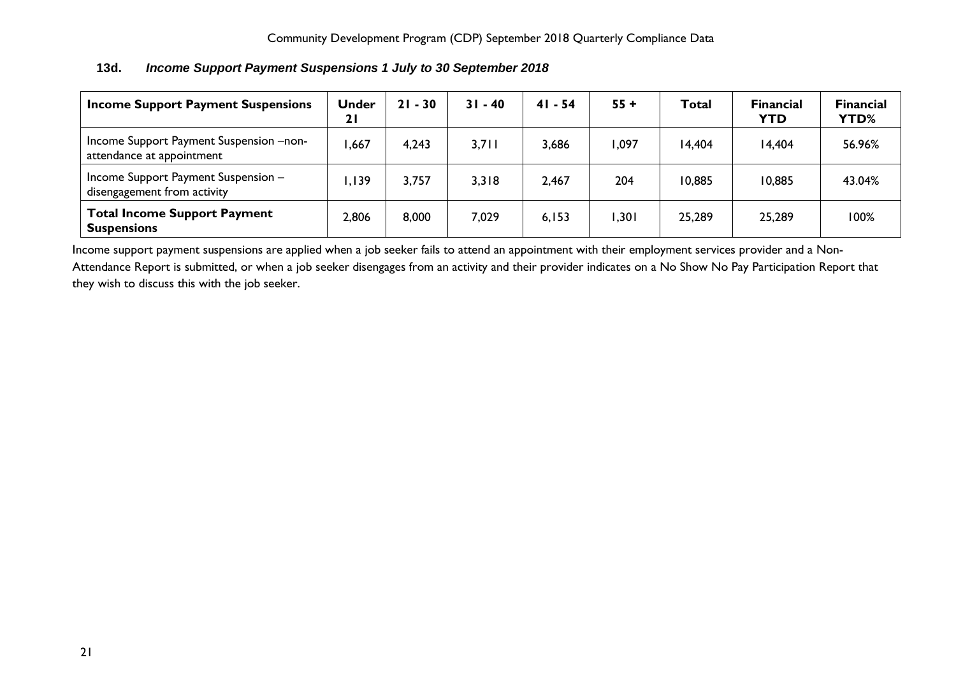| <b>Income Support Payment Suspensions</b>                              | <b>Under</b><br>21 | $21 - 30$ | $31 - 40$ | 41 - 54 | $55 +$ | <b>Total</b> | <b>Financial</b><br><b>YTD</b> | Financial<br>YTD% |
|------------------------------------------------------------------------|--------------------|-----------|-----------|---------|--------|--------------|--------------------------------|-------------------|
| Income Support Payment Suspension -- non-<br>attendance at appointment | ,667               | 4,243     | 3,711     | 3,686   | ,097   | 14,404       | 14,404                         | 56.96%            |
| Income Support Payment Suspension -<br>disengagement from activity     | , 139              | 3,757     | 3,318     | 2,467   | 204    | 10,885       | 10,885                         | 43.04%            |
| <b>Total Income Support Payment</b><br><b>Suspensions</b>              | 2,806              | 8,000     | 7,029     | 6,153   | , 301  | 25,289       | 25,289                         | 100%              |

## <span id="page-20-0"></span>**13d.** *Income Support Payment Suspensions 1 July to 30 September 2018*

Income support payment suspensions are applied when a job seeker fails to attend an appointment with their employment services provider and a Non-Attendance Report is submitted, or when a job seeker disengages from an activity and their provider indicates on a No Show No Pay Participation Report that they wish to discuss this with the job seeker.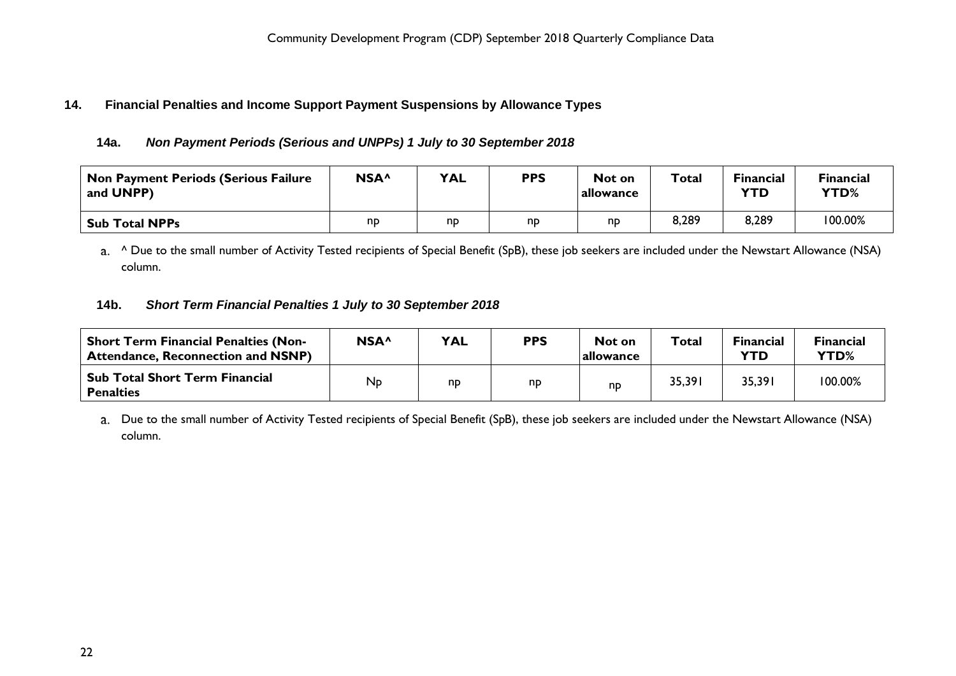## <span id="page-21-1"></span><span id="page-21-0"></span>**14. Financial Penalties and Income Support Payment Suspensions by Allowance Types**

## **14a.** *Non Payment Periods (Serious and UNPPs) 1 July to 30 September 2018*

| Non Payment Periods (Serious Failure<br>and UNPP) | NSA <sup>^</sup> | <b>YAL</b> | <b>PPS</b> | Not on<br>allowance | Total | <b>Financial</b><br><b>YTD</b> | Financial<br><b>YTD%</b> |
|---------------------------------------------------|------------------|------------|------------|---------------------|-------|--------------------------------|--------------------------|
| <b>Sub Total NPPs</b>                             | nd               | np         | np         | np                  | 8,289 | 8,289                          | 100.00%                  |

a. <sup>^</sup> Due to the small number of Activity Tested recipients of Special Benefit (SpB), these job seekers are included under the Newstart Allowance (NSA) column.

## <span id="page-21-2"></span>**14b.** *Short Term Financial Penalties 1 July to 30 September 2018*

| <b>Short Term Financial Penalties (Non-</b><br><b>Attendance, Reconnection and NSNP)</b> | NSA <sup>^</sup> | <b>YAL</b> | <b>PPS</b> | Not on<br> allowance | <b>Total</b> | <b>Financial</b><br><b>YTD</b> | <b>Financial</b><br><b>YTD%</b> |
|------------------------------------------------------------------------------------------|------------------|------------|------------|----------------------|--------------|--------------------------------|---------------------------------|
| Sub Total Short Term Financial<br><b>Penalties</b>                                       | Np               | np         | np         | np                   | 35,391       | 35,391                         | 100.00%                         |

Due to the small number of Activity Tested recipients of Special Benefit (SpB), these job seekers are included under the Newstart Allowance (NSA) column.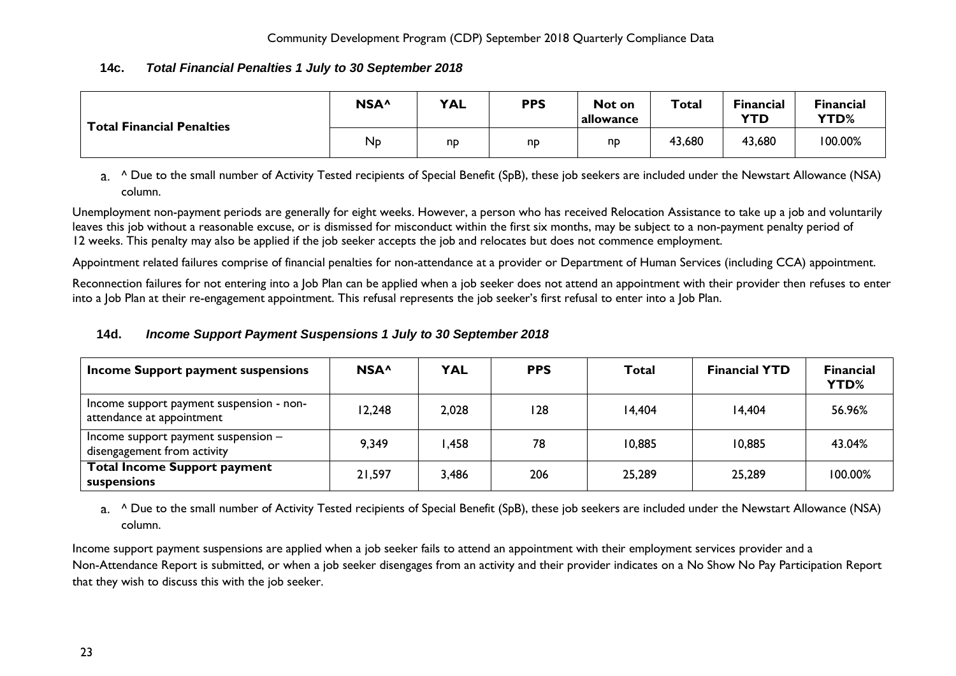## <span id="page-22-0"></span>**14c.** *Total Financial Penalties 1 July to 30 September 2018*

| <b>Total Financial Penalties</b> | NSA <sup>^</sup> | <b>YAL</b> | <b>PPS</b> | Not on<br>allowance | <b>Total</b> | <b>Financial</b><br><b>YTD</b> | <b>Financial</b><br>YTD% |
|----------------------------------|------------------|------------|------------|---------------------|--------------|--------------------------------|--------------------------|
|                                  | $N_{\rm p}$      | np         | np         | np                  | 43,680       | 43,680                         | 100.00%                  |

a. <sup>^</sup> Due to the small number of Activity Tested recipients of Special Benefit (SpB), these job seekers are included under the Newstart Allowance (NSA) column.

Unemployment non-payment periods are generally for eight weeks. However, a person who has received Relocation Assistance to take up a job and voluntarily leaves this job without a reasonable excuse, or is dismissed for misconduct within the first six months, may be subject to a non-payment penalty period of 12 weeks. This penalty may also be applied if the job seeker accepts the job and relocates but does not commence employment.

Appointment related failures comprise of financial penalties for non-attendance at a provider or Department of Human Services (including CCA) appointment.

Reconnection failures for not entering into a Job Plan can be applied when a job seeker does not attend an appointment with their provider then refuses to enter into a Job Plan at their re-engagement appointment. This refusal represents the job seeker's first refusal to enter into a Job Plan.

## <span id="page-22-1"></span>**14d.** *Income Support Payment Suspensions 1 July to 30 September 2018*

| Income Support payment suspensions                                    | NSA <sup>^</sup> | <b>YAL</b> | <b>PPS</b> | Total  | <b>Financial YTD</b> | <b>Financial</b><br><b>YTD%</b> |
|-----------------------------------------------------------------------|------------------|------------|------------|--------|----------------------|---------------------------------|
| Income support payment suspension - non-<br>attendance at appointment | 12,248           | 2,028      | 128        | 14,404 | 14,404               | 56.96%                          |
| Income support payment suspension $-$<br>disengagement from activity  | 9,349            | .458       | 78         | 10,885 | 10,885               | 43.04%                          |
| <b>Total Income Support payment</b><br>suspensions                    | 21,597           | 3,486      | 206        | 25,289 | 25,289               | 100.00%                         |

a. <sup>^</sup> Due to the small number of Activity Tested recipients of Special Benefit (SpB), these job seekers are included under the Newstart Allowance (NSA) column.

Income support payment suspensions are applied when a job seeker fails to attend an appointment with their employment services provider and a Non-Attendance Report is submitted, or when a job seeker disengages from an activity and their provider indicates on a No Show No Pay Participation Report that they wish to discuss this with the job seeker.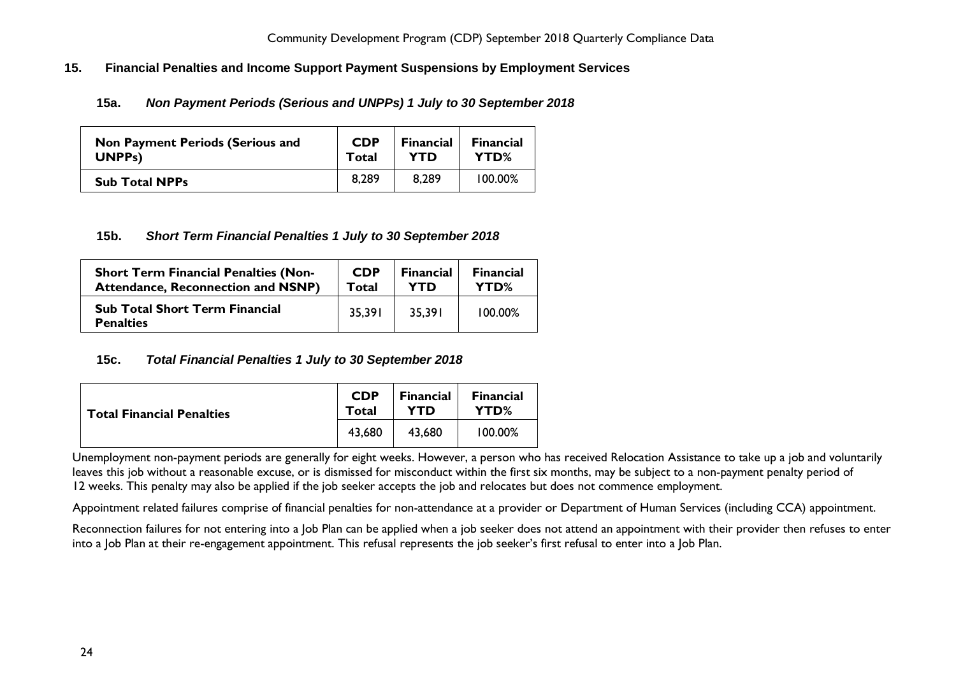## <span id="page-23-1"></span><span id="page-23-0"></span>**15. Financial Penalties and Income Support Payment Suspensions by Employment Services**

**15a.** *Non Payment Periods (Serious and UNPPs) 1 July to 30 September 2018*

| <b>Non Payment Periods (Serious and</b> | <b>CDP</b> | <b>Financial</b> | <b>Financial</b> |
|-----------------------------------------|------------|------------------|------------------|
| <b>UNPPs)</b>                           | Total      | YTD              | YTD%             |
| <b>Sub Total NPPs</b>                   | 8.289      | 8.289            | 100.00%          |

#### <span id="page-23-2"></span>**15b.** *Short Term Financial Penalties 1 July to 30 September 2018*

| <b>Short Term Financial Penalties (Non-</b>               | <b>CDP</b> | <b>Financial</b> | <b>Financial</b> |
|-----------------------------------------------------------|------------|------------------|------------------|
| <b>Attendance, Reconnection and NSNP)</b>                 | Total      | YTD              | YTD%             |
| <b>Sub Total Short Term Financial</b><br><b>Penalties</b> | 35.391     | 35,391           | $100.00\%$       |

#### <span id="page-23-3"></span>**15c.** *Total Financial Penalties 1 July to 30 September 2018*

| <b>Total Financial Penalties</b> | <b>CDP</b><br>Total | <b>Financial</b><br><b>YTD</b> | <b>Financial</b><br>YTD% |
|----------------------------------|---------------------|--------------------------------|--------------------------|
|                                  | 43.680              | 43,680                         | $100.00\%$               |

Unemployment non-payment periods are generally for eight weeks. However, a person who has received Relocation Assistance to take up a job and voluntarily leaves this job without a reasonable excuse, or is dismissed for misconduct within the first six months, may be subject to a non-payment penalty period of 12 weeks. This penalty may also be applied if the job seeker accepts the job and relocates but does not commence employment.

Appointment related failures comprise of financial penalties for non-attendance at a provider or Department of Human Services (including CCA) appointment.

Reconnection failures for not entering into a Job Plan can be applied when a job seeker does not attend an appointment with their provider then refuses to enter into a Job Plan at their re-engagement appointment. This refusal represents the job seeker's first refusal to enter into a Job Plan.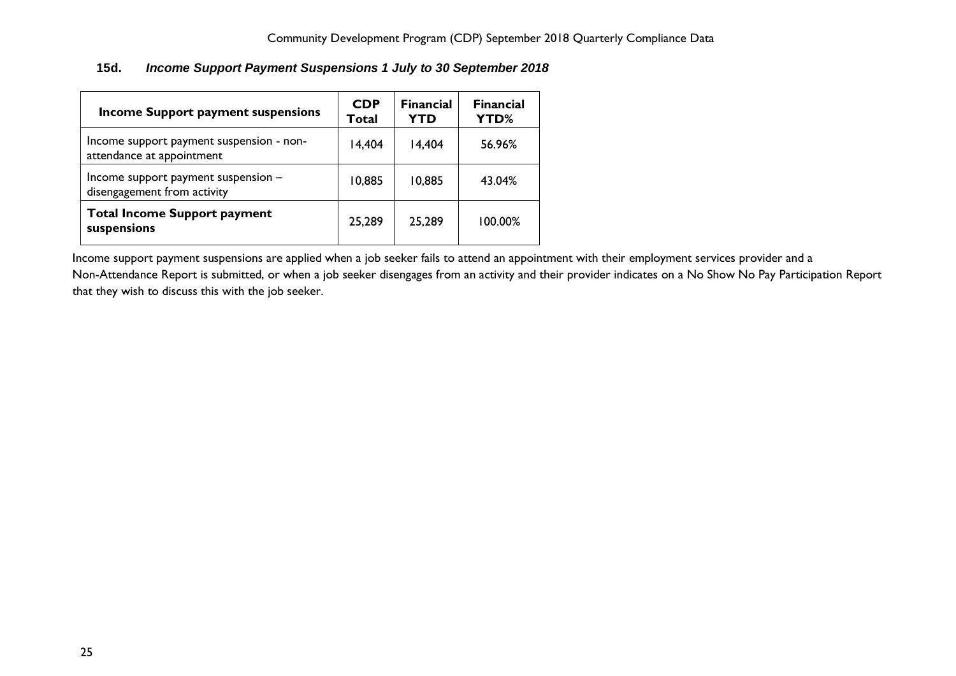## <span id="page-24-0"></span>**15d.** *Income Support Payment Suspensions 1 July to 30 September 2018*

| <b>Income Support payment suspensions</b>                             | <b>CDP</b><br>Total | <b>Financial</b><br><b>YTD</b> | <b>Financial</b><br>YTD% |
|-----------------------------------------------------------------------|---------------------|--------------------------------|--------------------------|
| Income support payment suspension - non-<br>attendance at appointment | 14,404              | 14,404                         | 56.96%                   |
| Income support payment suspension -<br>disengagement from activity    | 10,885              | 10,885                         | 43.04%                   |
| <b>Total Income Support payment</b><br>suspensions                    | 25,289              | 25,289                         | 100.00%                  |

Income support payment suspensions are applied when a job seeker fails to attend an appointment with their employment services provider and a

Non-Attendance Report is submitted, or when a job seeker disengages from an activity and their provider indicates on a No Show No Pay Participation Report that they wish to discuss this with the job seeker.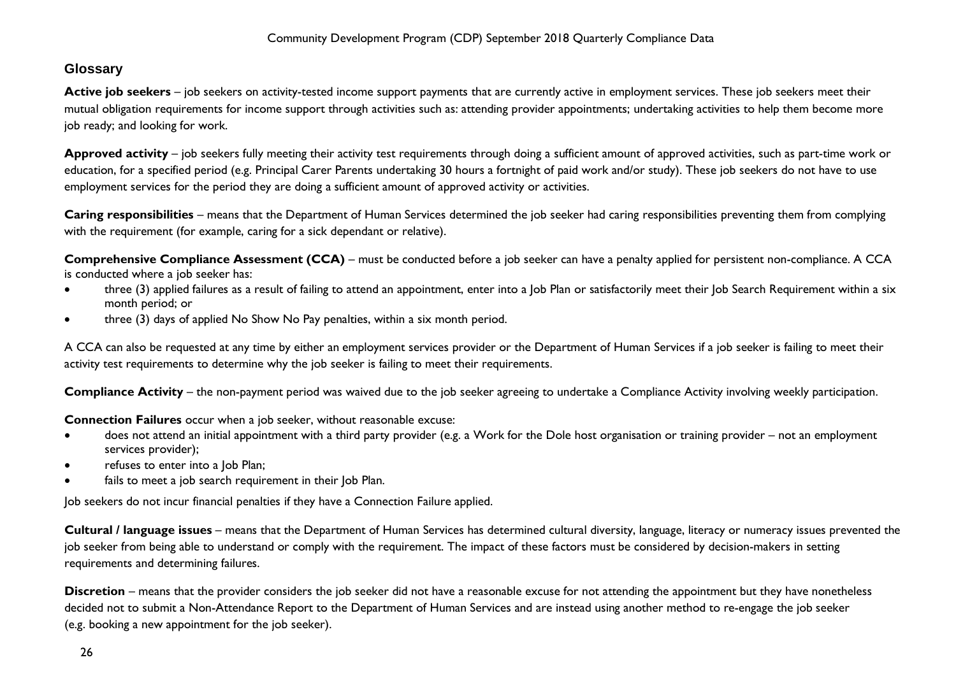# <span id="page-25-0"></span>**Glossary**

Active job seekers – job seekers on activity-tested income support payments that are currently active in employment services. These job seekers meet their mutual obligation requirements for income support through activities such as: attending provider appointments; undertaking activities to help them become more job ready; and looking for work.

**Approved activity** – job seekers fully meeting their activity test requirements through doing a sufficient amount of approved activities, such as part-time work or education, for a specified period (e.g. Principal Carer Parents undertaking 30 hours a fortnight of paid work and/or study). These job seekers do not have to use employment services for the period they are doing a sufficient amount of approved activity or activities.

**Caring responsibilities** – means that the Department of Human Services determined the job seeker had caring responsibilities preventing them from complying with the requirement (for example, caring for a sick dependant or relative).

**Comprehensive Compliance Assessment (CCA)** – must be conducted before a job seeker can have a penalty applied for persistent non-compliance. A CCA is conducted where a job seeker has:

- three (3) applied failures as a result of failing to attend an appointment, enter into a Job Plan or satisfactorily meet their Job Search Requirement within a six month period; or
- three (3) days of applied No Show No Pay penalties, within a six month period.

A CCA can also be requested at any time by either an employment services provider or the Department of Human Services if a job seeker is failing to meet their activity test requirements to determine why the job seeker is failing to meet their requirements.

**Compliance Activity** – the non-payment period was waived due to the job seeker agreeing to undertake a Compliance Activity involving weekly participation.

**Connection Failures** occur when a job seeker, without reasonable excuse:

- does not attend an initial appointment with a third party provider (e.g. a Work for the Dole host organisation or training provider not an employment services provider);
- refuses to enter into a Job Plan;
- fails to meet a job search requirement in their Job Plan.

Job seekers do not incur financial penalties if they have a Connection Failure applied.

**Cultural / language issues** – means that the Department of Human Services has determined cultural diversity, language, literacy or numeracy issues prevented the job seeker from being able to understand or comply with the requirement. The impact of these factors must be considered by decision-makers in setting requirements and determining failures.

**Discretion** – means that the provider considers the job seeker did not have a reasonable excuse for not attending the appointment but they have nonetheless decided not to submit a Non-Attendance Report to the Department of Human Services and are instead using another method to re-engage the job seeker (e.g. booking a new appointment for the job seeker).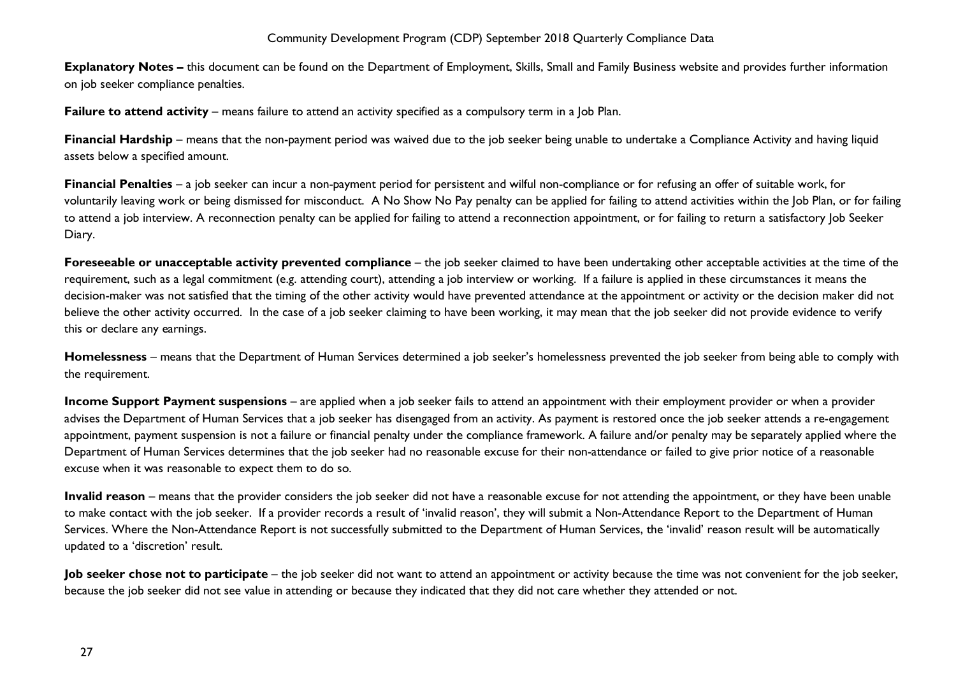**Explanatory Notes –** this document can be found on the Department of Employment, Skills, Small and Family Business website and provides further information on job seeker compliance penalties.

**Failure to attend activity** – means failure to attend an activity specified as a compulsory term in a Job Plan.

**Financial Hardship** – means that the non-payment period was waived due to the job seeker being unable to undertake a Compliance Activity and having liquid assets below a specified amount.

**Financial Penalties** – a job seeker can incur a non-payment period for persistent and wilful non-compliance or for refusing an offer of suitable work, for voluntarily leaving work or being dismissed for misconduct. A No Show No Pay penalty can be applied for failing to attend activities within the Job Plan, or for failing to attend a job interview. A reconnection penalty can be applied for failing to attend a reconnection appointment, or for failing to return a satisfactory Job Seeker Diary.

**Foreseeable or unacceptable activity prevented compliance** – the job seeker claimed to have been undertaking other acceptable activities at the time of the requirement, such as a legal commitment (e.g. attending court), attending a job interview or working. If a failure is applied in these circumstances it means the decision-maker was not satisfied that the timing of the other activity would have prevented attendance at the appointment or activity or the decision maker did not believe the other activity occurred. In the case of a job seeker claiming to have been working, it may mean that the job seeker did not provide evidence to verify this or declare any earnings.

**Homelessness** – means that the Department of Human Services determined a job seeker's homelessness prevented the job seeker from being able to comply with the requirement.

**Income Support Payment suspensions** – are applied when a job seeker fails to attend an appointment with their employment provider or when a provider advises the Department of Human Services that a job seeker has disengaged from an activity. As payment is restored once the job seeker attends a re-engagement appointment, payment suspension is not a failure or financial penalty under the compliance framework. A failure and/or penalty may be separately applied where the Department of Human Services determines that the job seeker had no reasonable excuse for their non-attendance or failed to give prior notice of a reasonable excuse when it was reasonable to expect them to do so.

**Invalid reason** – means that the provider considers the job seeker did not have a reasonable excuse for not attending the appointment, or they have been unable to make contact with the job seeker. If a provider records a result of 'invalid reason', they will submit a Non-Attendance Report to the Department of Human Services. Where the Non-Attendance Report is not successfully submitted to the Department of Human Services, the 'invalid' reason result will be automatically updated to a 'discretion' result.

**Job seeker chose not to participate** – the job seeker did not want to attend an appointment or activity because the time was not convenient for the job seeker, because the job seeker did not see value in attending or because they indicated that they did not care whether they attended or not.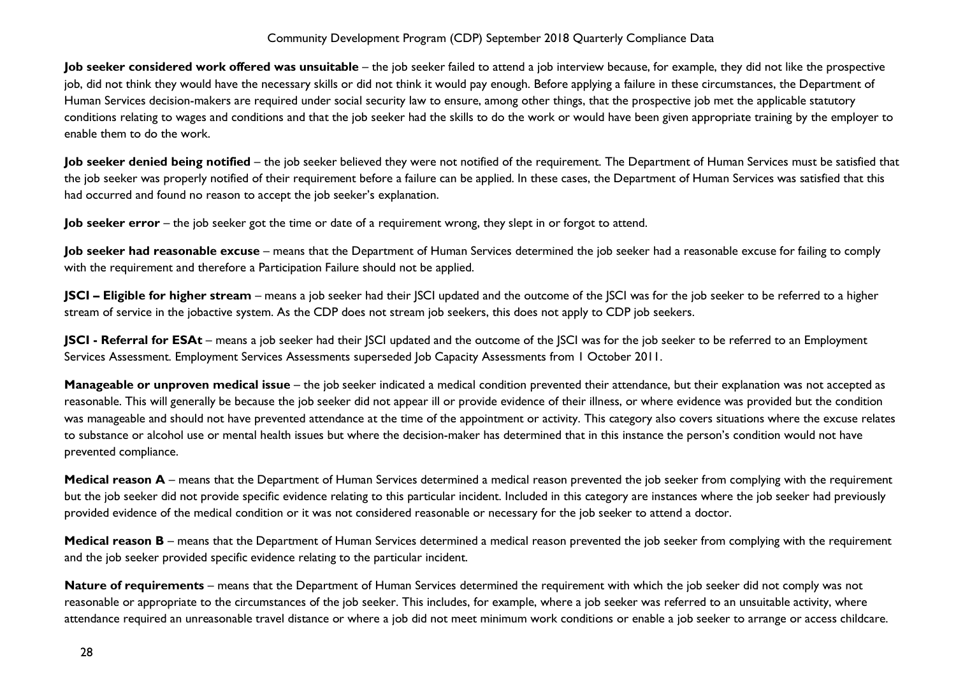**Job seeker considered work offered was unsuitable** – the job seeker failed to attend a job interview because, for example, they did not like the prospective job, did not think they would have the necessary skills or did not think it would pay enough. Before applying a failure in these circumstances, the Department of Human Services decision-makers are required under social security law to ensure, among other things, that the prospective job met the applicable statutory conditions relating to wages and conditions and that the job seeker had the skills to do the work or would have been given appropriate training by the employer to enable them to do the work.

Job seeker denied being notified – the job seeker believed they were not notified of the requirement. The Department of Human Services must be satisfied that the job seeker was properly notified of their requirement before a failure can be applied. In these cases, the Department of Human Services was satisfied that this had occurred and found no reason to accept the job seeker's explanation.

**Job seeker error** – the job seeker got the time or date of a requirement wrong, they slept in or forgot to attend.

Job seeker had reasonable excuse – means that the Department of Human Services determined the job seeker had a reasonable excuse for failing to comply with the requirement and therefore a Participation Failure should not be applied.

**JSCI – Eligible for higher stream** – means a job seeker had their JSCI updated and the outcome of the JSCI was for the job seeker to be referred to a higher stream of service in the jobactive system. As the CDP does not stream job seekers, this does not apply to CDP job seekers.

**JSCI - Referral for ESAt** – means a job seeker had their JSCI updated and the outcome of the JSCI was for the job seeker to be referred to an Employment Services Assessment. Employment Services Assessments superseded Job Capacity Assessments from 1 October 2011.

**Manageable or unproven medical issue** – the job seeker indicated a medical condition prevented their attendance, but their explanation was not accepted as reasonable. This will generally be because the job seeker did not appear ill or provide evidence of their illness, or where evidence was provided but the condition was manageable and should not have prevented attendance at the time of the appointment or activity. This category also covers situations where the excuse relates to substance or alcohol use or mental health issues but where the decision-maker has determined that in this instance the person's condition would not have prevented compliance.

**Medical reason A** – means that the Department of Human Services determined a medical reason prevented the job seeker from complying with the requirement but the job seeker did not provide specific evidence relating to this particular incident. Included in this category are instances where the job seeker had previously provided evidence of the medical condition or it was not considered reasonable or necessary for the job seeker to attend a doctor.

**Medical reason B** – means that the Department of Human Services determined a medical reason prevented the job seeker from complying with the requirement and the job seeker provided specific evidence relating to the particular incident.

**Nature of requirements** – means that the Department of Human Services determined the requirement with which the job seeker did not comply was not reasonable or appropriate to the circumstances of the job seeker. This includes, for example, where a job seeker was referred to an unsuitable activity, where attendance required an unreasonable travel distance or where a job did not meet minimum work conditions or enable a job seeker to arrange or access childcare.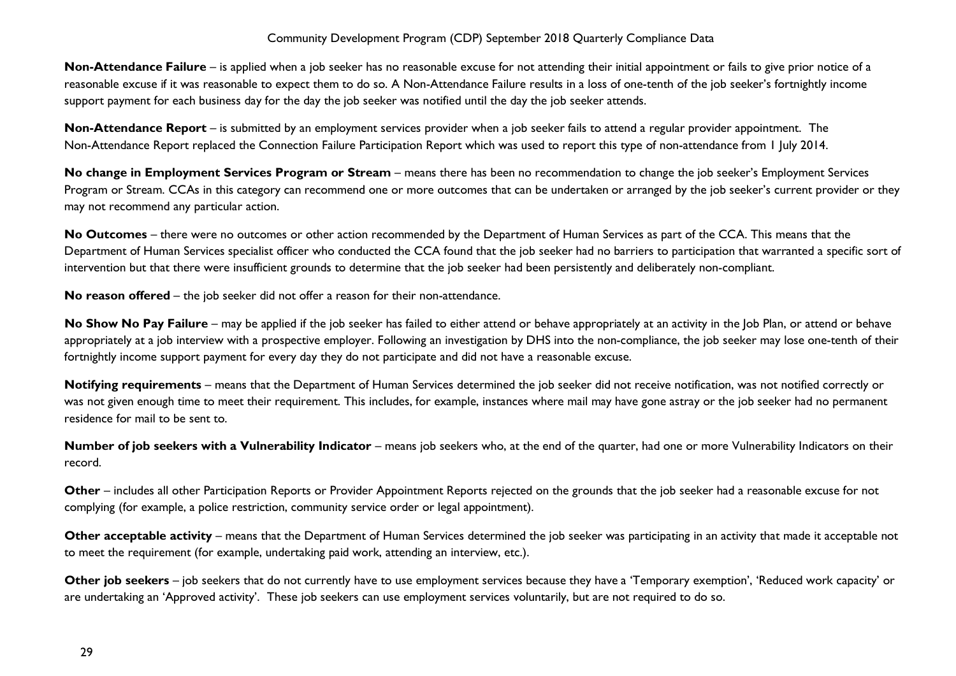**Non-Attendance Failure** – is applied when a job seeker has no reasonable excuse for not attending their initial appointment or fails to give prior notice of a reasonable excuse if it was reasonable to expect them to do so. A Non-Attendance Failure results in a loss of one-tenth of the job seeker's fortnightly income support payment for each business day for the day the job seeker was notified until the day the job seeker attends.

**Non-Attendance Report** – is submitted by an employment services provider when a job seeker fails to attend a regular provider appointment. The Non-Attendance Report replaced the Connection Failure Participation Report which was used to report this type of non-attendance from 1 July 2014.

**No change in Employment Services Program or Stream** – means there has been no recommendation to change the job seeker's Employment Services Program or Stream. CCAs in this category can recommend one or more outcomes that can be undertaken or arranged by the job seeker's current provider or they may not recommend any particular action.

**No Outcomes** – there were no outcomes or other action recommended by the Department of Human Services as part of the CCA. This means that the Department of Human Services specialist officer who conducted the CCA found that the job seeker had no barriers to participation that warranted a specific sort of intervention but that there were insufficient grounds to determine that the job seeker had been persistently and deliberately non-compliant.

**No reason offered** – the job seeker did not offer a reason for their non-attendance.

No Show No Pay Failure – may be applied if the job seeker has failed to either attend or behave appropriately at an activity in the Job Plan, or attend or behave appropriately at a job interview with a prospective employer. Following an investigation by DHS into the non-compliance, the job seeker may lose one-tenth of their fortnightly income support payment for every day they do not participate and did not have a reasonable excuse.

**Notifying requirements** – means that the Department of Human Services determined the job seeker did not receive notification, was not notified correctly or was not given enough time to meet their requirement. This includes, for example, instances where mail may have gone astray or the job seeker had no permanent residence for mail to be sent to.

**Number of job seekers with a Vulnerability Indicator** – means job seekers who, at the end of the quarter, had one or more Vulnerability Indicators on their record.

**Other** – includes all other Participation Reports or Provider Appointment Reports rejected on the grounds that the job seeker had a reasonable excuse for not complying (for example, a police restriction, community service order or legal appointment).

**Other acceptable activity** – means that the Department of Human Services determined the job seeker was participating in an activity that made it acceptable not to meet the requirement (for example, undertaking paid work, attending an interview, etc.).

**Other job seekers** – job seekers that do not currently have to use employment services because they have a 'Temporary exemption', 'Reduced work capacity' or are undertaking an 'Approved activity'. These job seekers can use employment services voluntarily, but are not required to do so.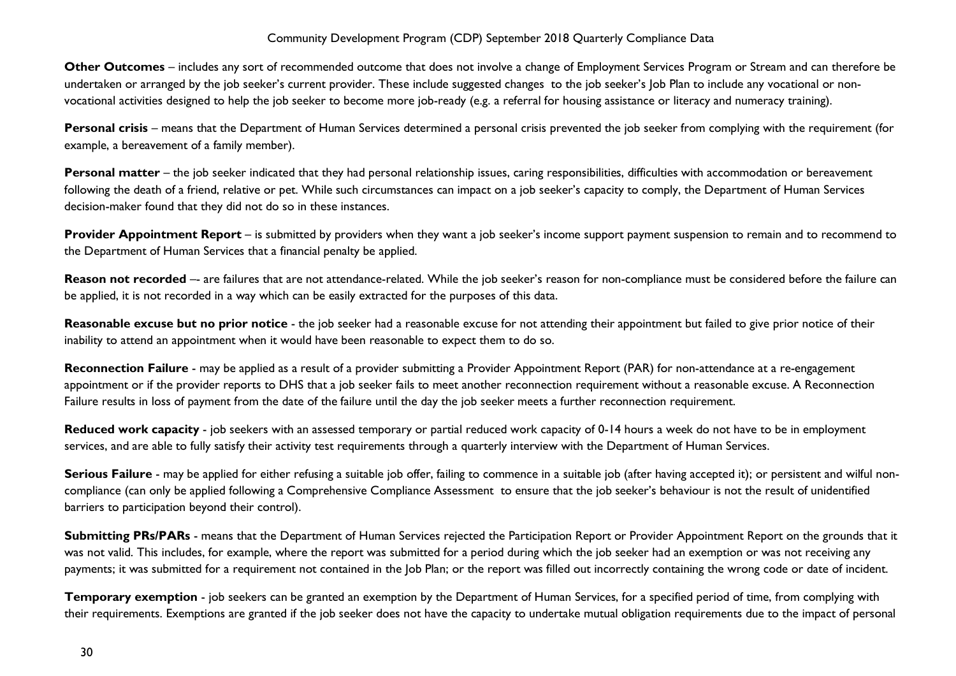**Other Outcomes** – includes any sort of recommended outcome that does not involve a change of Employment Services Program or Stream and can therefore be undertaken or arranged by the job seeker's current provider. These include suggested changes to the job seeker's Job Plan to include any vocational or nonvocational activities designed to help the job seeker to become more job-ready (e.g. a referral for housing assistance or literacy and numeracy training).

Personal crisis – means that the Department of Human Services determined a personal crisis prevented the job seeker from complying with the requirement (for example, a bereavement of a family member).

**Personal matter** – the job seeker indicated that they had personal relationship issues, caring responsibilities, difficulties with accommodation or bereavement following the death of a friend, relative or pet. While such circumstances can impact on a job seeker's capacity to comply, the Department of Human Services decision-maker found that they did not do so in these instances.

**Provider Appointment Report** – is submitted by providers when they want a job seeker's income support payment suspension to remain and to recommend to the Department of Human Services that a financial penalty be applied.

**Reason not recorded** –- are failures that are not attendance-related. While the job seeker's reason for non-compliance must be considered before the failure can be applied, it is not recorded in a way which can be easily extracted for the purposes of this data.

**Reasonable excuse but no prior notice** - the job seeker had a reasonable excuse for not attending their appointment but failed to give prior notice of their inability to attend an appointment when it would have been reasonable to expect them to do so.

Reconnection Failure - may be applied as a result of a provider submitting a Provider Appointment Report (PAR) for non-attendance at a re-engagement appointment or if the provider reports to DHS that a job seeker fails to meet another reconnection requirement without a reasonable excuse. A Reconnection Failure results in loss of payment from the date of the failure until the day the job seeker meets a further reconnection requirement.

**Reduced work capacity** - job seekers with an assessed temporary or partial reduced work capacity of 0-14 hours a week do not have to be in employment services, and are able to fully satisfy their activity test requirements through a quarterly interview with the Department of Human Services.

**Serious Failure** - may be applied for either refusing a suitable job offer, failing to commence in a suitable job (after having accepted it); or persistent and wilful noncompliance (can only be applied following a Comprehensive Compliance Assessment to ensure that the job seeker's behaviour is not the result of unidentified barriers to participation beyond their control).

**Submitting PRs/PARs** - means that the Department of Human Services rejected the Participation Report or Provider Appointment Report on the grounds that it was not valid. This includes, for example, where the report was submitted for a period during which the job seeker had an exemption or was not receiving any payments; it was submitted for a requirement not contained in the Job Plan; or the report was filled out incorrectly containing the wrong code or date of incident.

**Temporary exemption** - job seekers can be granted an exemption by the Department of Human Services, for a specified period of time, from complying with their requirements. Exemptions are granted if the job seeker does not have the capacity to undertake mutual obligation requirements due to the impact of personal